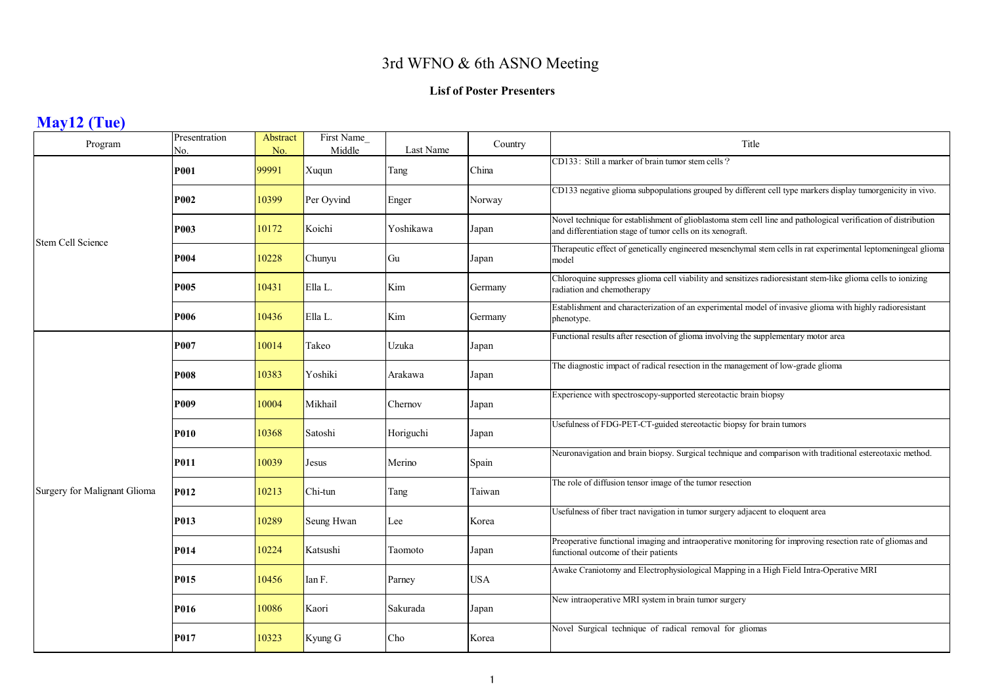## 3rd WFNO & 6th ASNO Meeting

#### **Lisf of Poster Presenters**

# **May12 (Tue)**

| Program                      | Presentration<br>No. | Abstract<br>No. | First Name<br>Middle | Last Name | Country    | Title                                                                                                                                                                        |
|------------------------------|----------------------|-----------------|----------------------|-----------|------------|------------------------------------------------------------------------------------------------------------------------------------------------------------------------------|
|                              | <b>P001</b>          | 99991           | Xuqun                | Tang      | China      | CD133: Still a marker of brain tumor stem cells?                                                                                                                             |
|                              | <b>P002</b>          | 10399           | Per Oyvind           | Enger     | Norway     | CD133 negative glioma subpopulations grouped by different cell type markers display tumorgenicity in vivo.                                                                   |
| <b>Stem Cell Science</b>     | P003                 | 10172           | Koichi               | Yoshikawa | Japan      | Novel technique for establishment of glioblastoma stem cell line and pathological verification of distribution<br>and differentiation stage of tumor cells on its xenograft. |
|                              | P004                 | 10228           | Chunyu               | Gu        | Japan      | Therapeutic effect of genetically engineered mesenchymal stem cells in rat experimental leptomeningeal glioma<br>model                                                       |
|                              | P005                 | 10431           | Ella L.              | Kim       | Germany    | Chloroquine suppresses glioma cell viability and sensitizes radioresistant stem-like glioma cells to ionizing<br>radiation and chemotherapy                                  |
|                              | P006                 | 10436           | Ella L.              | Kim       | Germany    | Establishment and characterization of an experimental model of invasive glioma with highly radioresistant<br>phenotype.                                                      |
|                              | P007                 | 10014           | Takeo                | Uzuka     | Japan      | Functional results after resection of glioma involving the supplementary motor area                                                                                          |
|                              | <b>P008</b>          | 10383           | Yoshiki              | Arakawa   | Japan      | The diagnostic impact of radical resection in the management of low-grade glioma                                                                                             |
|                              | P009                 | 10004           | Mikhail              | Chernov   | Japan      | Experience with spectroscopy-supported stereotactic brain biopsy                                                                                                             |
|                              | P010                 | 10368           | Satoshi              | Horiguchi | Japan      | Usefulness of FDG-PET-CT-guided stereotactic biopsy for brain tumors                                                                                                         |
|                              | P011                 | 10039           | Jesus                | Merino    | Spain      | Neuronavigation and brain biopsy. Surgical technique and comparison with traditional estereotaxic method.                                                                    |
| Surgery for Malignant Glioma | P012                 | 10213           | Chi-tun              | Tang      | Taiwan     | The role of diffusion tensor image of the tumor resection                                                                                                                    |
|                              | P013                 | 10289           | Seung Hwan           | Lee       | Korea      | Usefulness of fiber tract navigation in tumor surgery adjacent to eloquent area                                                                                              |
|                              | P014                 | 10224           | Katsushi             | Taomoto   | Japan      | Preoperative functional imaging and intraoperative monitoring for improving resection rate of gliomas and<br>functional outcome of their patients                            |
|                              | P015                 | 10456           | Ian F.               | Parney    | <b>USA</b> | Awake Craniotomy and Electrophysiological Mapping in a High Field Intra-Operative MRI                                                                                        |
|                              | P016                 | 10086           | Kaori                | Sakurada  | Japan      | New intraoperative MRI system in brain tumor surgery                                                                                                                         |
|                              | P017                 | 10323           | Kyung G              | Cho       | Korea      | Novel Surgical technique of radical removal for gliomas                                                                                                                      |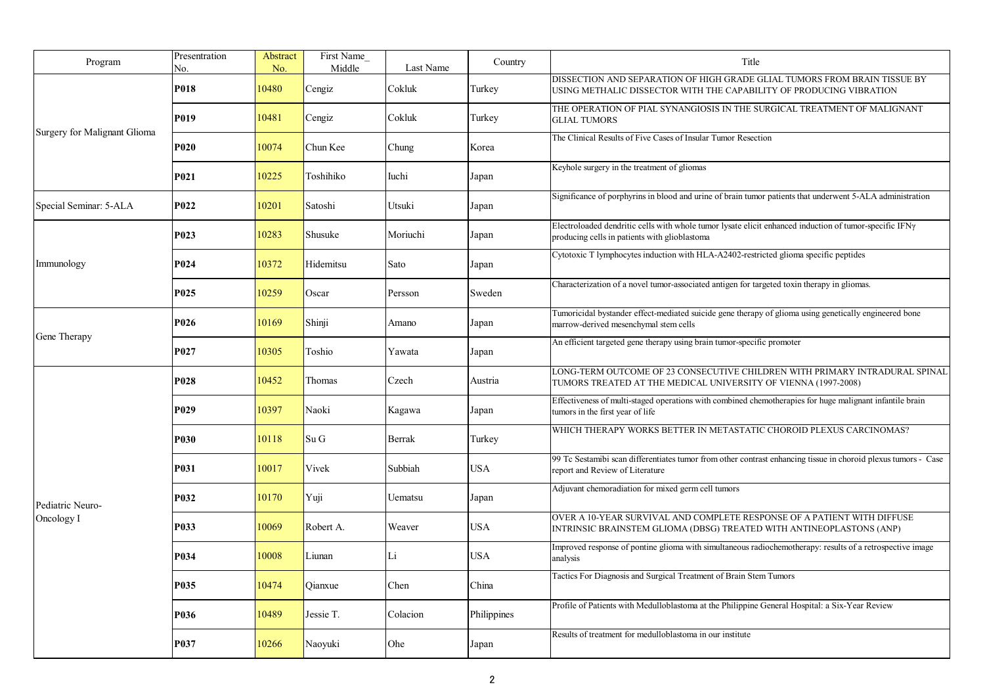| Program                      | Presentration<br>No. | Abstract<br>No. | First Name<br>Middle | Last Name | Country     | Title                                                                                                                                                           |
|------------------------------|----------------------|-----------------|----------------------|-----------|-------------|-----------------------------------------------------------------------------------------------------------------------------------------------------------------|
|                              | P018                 | 10480           | Cengiz               | Cokluk    | Turkey      | DISSECTION AND SEPARATION OF HIGH GRADE GLIAL TUMORS FROM BRAIN TISSUE BY<br>USING METHALIC DISSECTOR WITH THE CAPABILITY OF PRODUCING VIBRATION                |
|                              | P019                 | 10481           | Cengiz               | Cokluk    | Turkey      | THE OPERATION OF PIAL SYNANGIOSIS IN THE SURGICAL TREATMENT OF MALIGNANT<br><b>GLIAL TUMORS</b>                                                                 |
| Surgery for Malignant Glioma | P020                 | 10074           | Chun Kee             | Chung     | Korea       | The Clinical Results of Five Cases of Insular Tumor Resection                                                                                                   |
|                              | P021                 | 10225           | Toshihiko            | Iuchi     | Japan       | Keyhole surgery in the treatment of gliomas                                                                                                                     |
| Special Seminar: 5-ALA       | P022                 | 10201           | Satoshi              | Utsuki    | Japan       | Significance of porphyrins in blood and urine of brain tumor patients that underwent 5-ALA administration                                                       |
|                              | P023                 | 10283           | Shusuke              | Moriuchi  | Japan       | Electroloaded dendritic cells with whole tumor lysate elicit enhanced induction of tumor-specific IFN $\gamma$<br>producing cells in patients with glioblastoma |
| Immunology                   | P024                 | 10372           | Hidemitsu            | Sato      | Japan       | Cytotoxic T lymphocytes induction with HLA-A2402-restricted glioma specific peptides                                                                            |
|                              | P025                 | 10259           | Oscar                | Persson   | Sweden      | Characterization of a novel tumor-associated antigen for targeted toxin therapy in gliomas.                                                                     |
|                              | P026                 | 10169           | Shinji               | Amano     | Japan       | Tumoricidal bystander effect-mediated suicide gene therapy of glioma using genetically engineered bone<br>narrow-derived mesenchymal stem cells                 |
| Gene Therapy                 | P027                 | 10305           | Toshio               | Yawata    | Japan       | An efficient targeted gene therapy using brain tumor-specific promoter                                                                                          |
|                              | P028                 | 10452           | Thomas               | Czech     | Austria     | LONG-TERM OUTCOME OF 23 CONSECUTIVE CHILDREN WITH PRIMARY INTRADURAL SPINAL<br>TUMORS TREATED AT THE MEDICAL UNIVERSITY OF VIENNA (1997-2008)                   |
|                              | P029                 | 10397           | Naoki                | Kagawa    | Japan       | Effectiveness of multi-staged operations with combined chemotherapies for huge malignant infantile brain<br>umors in the first year of life                     |
|                              | P030                 | 10118           | Su G                 | Berrak    | Turkey      | WHICH THERAPY WORKS BETTER IN METASTATIC CHOROID PLEXUS CARCINOMAS?                                                                                             |
|                              | P031                 | 10017           | Vivek                | Subbiah   | USA         | 99 Tc Sestamibi scan differentiates tumor from other contrast enhancing tissue in choroid plexus tumors - Case<br>report and Review of Literature               |
| Pediatric Neuro-             | P032                 | 10170           | Yuji                 | Uematsu   | Japan       | Adjuvant chemoradiation for mixed germ cell tumors                                                                                                              |
| Oncology I                   | P033                 | 10069           | Robert A.            | Weaver    | <b>USA</b>  | OVER A 10-YEAR SURVIVAL AND COMPLETE RESPONSE OF A PATIENT WITH DIFFUSE<br>INTRINSIC BRAINSTEM GLIOMA (DBSG) TREATED WITH ANTINEOPLASTONS (ANP)                 |
|                              | P034                 | 10008           | Liunan               | Li        | USA         | Improved response of pontine glioma with simultaneous radiochemotherapy: results of a retrospective image<br>analysis                                           |
|                              | P035                 | 10474           | Oianxue              | Chen      | China       | Tactics For Diagnosis and Surgical Treatment of Brain Stem Tumors                                                                                               |
|                              | P036                 | 10489           | Jessie T.            | Colacion  | Philippines | Profile of Patients with Medulloblastoma at the Philippine General Hospital: a Six-Year Review                                                                  |
|                              | P037                 | 10266           | Naoyuki              | Ohe       | Japan       | Results of treatment for medulloblastoma in our institute                                                                                                       |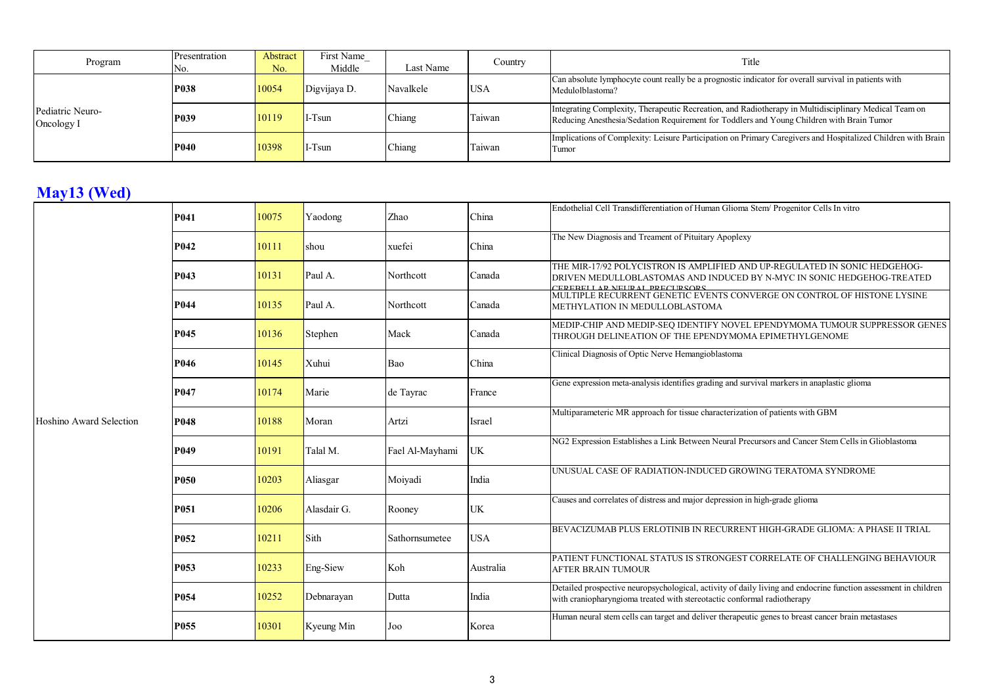| Program                        | Presentration | Abstract | First Name   |           | Country    | Title                                                                                                                                                                                              |
|--------------------------------|---------------|----------|--------------|-----------|------------|----------------------------------------------------------------------------------------------------------------------------------------------------------------------------------------------------|
|                                | No.           | No.      | Middle       | Last Name |            |                                                                                                                                                                                                    |
| Pediatric Neuro-<br>Oncology I | <b>P038</b>   | 10054    | Digvijaya D. | Navalkele | <b>USA</b> | Can absolute lymphocyte count really be a prognostic indicator for overall survival in patients with<br>Medulolblastoma?                                                                           |
|                                | <b>P039</b>   | 10119    | $I-Tsum$     | Chiang    | Taiwan     | Integrating Complexity, Therapeutic Recreation, and Radiotherapy in Multidisciplinary Medical Team on<br>Reducing Anesthesia/Sedation Requirement for Toddlers and Young Children with Brain Tumor |
|                                | <b>P040</b>   | 10398    | $I-Tsum$     | Chiang    | Taiwan     | Implications of Complexity: Leisure Participation on Primary Caregivers and Hospitalized Children with Brain<br>Tumor                                                                              |

# **May13 (Wed)**

|                         | P041             | 10075 | Yaodong     | Zhao            | China      | Endothelial Cell Transdifferentiation of Human Glioma Stem/ Progenitor Cells In vitro                                                                                                      |
|-------------------------|------------------|-------|-------------|-----------------|------------|--------------------------------------------------------------------------------------------------------------------------------------------------------------------------------------------|
|                         | P042             | 10111 | shou        | xuefei          | China      | The New Diagnosis and Treament of Pituitary Apoplexy                                                                                                                                       |
|                         | P <sub>043</sub> | 10131 | Paul A.     | Northcott       | Canada     | THE MIR-17/92 POLYCISTRON IS AMPLIFIED AND UP-REGULATED IN SONIC HEDGEHOG-<br>DRIVEN MEDULLOBLASTOMAS AND INDUCED BY N-MYC IN SONIC HEDGEHOG-TREATED<br>TERERELLAR NEURAL PRECURSORS       |
|                         | P044             | 10135 | Paul A.     | Northcott       | Canada     | MULTIPLE RECURRENT GENETIC EVENTS CONVERGE ON CONTROL OF HISTONE LYSINE<br>METHYLATION IN MEDULLOBLASTOMA                                                                                  |
|                         | P045             | 10136 | Stephen     | Mack            | Canada     | MEDIP-CHIP AND MEDIP-SEO IDENTIFY NOVEL EPENDYMOMA TUMOUR SUPPRESSOR GENES<br>THROUGH DELINEATION OF THE EPENDYMOMA EPIMETHYLGENOME                                                        |
|                         | P046             | 10145 | Xuhui       | Bao             | China      | Clinical Diagnosis of Optic Nerve Hemangioblastoma                                                                                                                                         |
|                         | P047             | 10174 | Marie       | de Tayrac       | France     | Gene expression meta-analysis identifies grading and survival markers in anaplastic glioma                                                                                                 |
| Hoshino Award Selection | P048             | 10188 | Moran       | Artzi           | Israel     | Multiparameteric MR approach for tissue characterization of patients with GBM                                                                                                              |
|                         | P <sub>049</sub> | 10191 | Talal M.    | Fael Al-Mayhami | <b>UK</b>  | NG2 Expression Establishes a Link Between Neural Precursors and Cancer Stem Cells in Glioblastoma                                                                                          |
|                         | <b>P050</b>      | 10203 | Aliasgar    | Moiyadi         | India      | UNUSUAL CASE OF RADIATION-INDUCED GROWING TERATOMA SYNDROME                                                                                                                                |
|                         | P <sub>051</sub> | 10206 | Alasdair G. | Rooney          | <b>UK</b>  | Causes and correlates of distress and major depression in high-grade glioma                                                                                                                |
|                         | P <sub>052</sub> | 10211 | Sith        | Sathornsumetee  | <b>USA</b> | BEVACIZUMAB PLUS ERLOTINIB IN RECURRENT HIGH-GRADE GLIOMA: A PHASE II TRIAL                                                                                                                |
|                         | P <sub>053</sub> | 10233 | Eng-Siew    | Koh             | Australia  | PATIENT FUNCTIONAL STATUS IS STRONGEST CORRELATE OF CHALLENGING BEHAVIOUR<br><b>AFTER BRAIN TUMOUR</b>                                                                                     |
|                         | P <sub>054</sub> | 10252 | Debnarayan  | Dutta           | India      | Detailed prospective neuropsychological, activity of daily living and endocrine function assessment in children<br>with craniopharyngioma treated with stereotactic conformal radiotherapy |
|                         | P <sub>055</sub> | 10301 | Kyeung Min  | Joo             | Korea      | Human neural stem cells can target and deliver therapeutic genes to breast cancer brain metastases                                                                                         |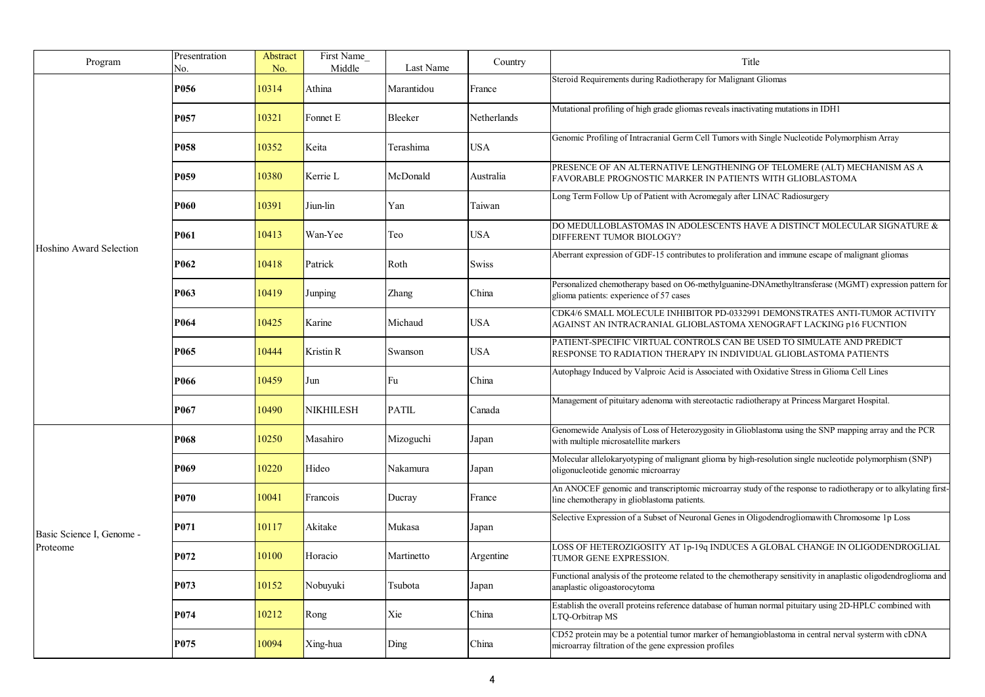| Program                   | Presentration<br>No. | Abstract<br>No. | First Name<br>Middle | Last Name    | Country     | Title                                                                                                                                                         |
|---------------------------|----------------------|-----------------|----------------------|--------------|-------------|---------------------------------------------------------------------------------------------------------------------------------------------------------------|
|                           | P056                 | 10314           | Athina               | Marantidou   | France      | Steroid Requirements during Radiotherapy for Malignant Gliomas                                                                                                |
|                           | P <sub>057</sub>     | 10321           | Fonnet E             | Bleeker      | Netherlands | Mutational profiling of high grade gliomas reveals inactivating mutations in IDH1                                                                             |
|                           | P <sub>058</sub>     | 10352           | Keita                | Terashima    | USA         | Genomic Profiling of Intracranial Germ Cell Tumors with Single Nucleotide Polymorphism Array                                                                  |
|                           | P <sub>059</sub>     | 10380           | Kerrie L             | McDonald     | Australia   | PRESENCE OF AN ALTERNATIVE LENGTHENING OF TELOMERE (ALT) MECHANISM AS A<br>FAVORABLE PROGNOSTIC MARKER IN PATIENTS WITH GLIOBLASTOMA                          |
|                           | <b>P060</b>          | 10391           | Jiun-lin             | Yan          | Taiwan      | Long Term Follow Up of Patient with Acromegaly after LINAC Radiosurgery                                                                                       |
| Hoshino Award Selection   | <b>P061</b>          | 10413           | Wan-Yee              | Teo          | <b>USA</b>  | DO MEDULLOBLASTOMAS IN ADOLESCENTS HAVE A DISTINCT MOLECULAR SIGNATURE $\&$<br>DIFFERENT TUMOR BIOLOGY?                                                       |
|                           | P <sub>062</sub>     | 10418           | Patrick              | Roth         | Swiss       | Aberrant expression of GDF-15 contributes to proliferation and immune escape of malignant gliomas                                                             |
|                           | P <sub>063</sub>     | 10419           | Junping              | Zhang        | China       | Personalized chemotherapy based on O6-methylguanine-DNAmethyltransferase (MGMT) expression pattern for<br>glioma patients: experience of 57 cases             |
|                           | P064                 | 10425           | Karine               | Michaud      | <b>USA</b>  | CDK4/6 SMALL MOLECULE INHIBITOR PD-0332991 DEMONSTRATES ANTI-TUMOR ACTIVITY<br>AGAINST AN INTRACRANIAL GLIOBLASTOMA XENOGRAFT LACKING p16 FUCNTION            |
|                           | P <sub>065</sub>     | 10444           | Kristin R            | Swanson      | <b>USA</b>  | PATIENT-SPECIFIC VIRTUAL CONTROLS CAN BE USED TO SIMULATE AND PREDICT<br>RESPONSE TO RADIATION THERAPY IN INDIVIDUAL GLIOBLASTOMA PATIENTS                    |
|                           | P066                 | 10459           | Jun                  | Fu           | China       | Autophagy Induced by Valproic Acid is Associated with Oxidative Stress in Glioma Cell Lines                                                                   |
|                           | P067                 | 10490           | NIKHILESH            | <b>PATIL</b> | Canada      | Management of pituitary adenoma with stereotactic radiotherapy at Princess Margaret Hospital.                                                                 |
|                           | P <sub>068</sub>     | 10250           | Masahiro             | Mizoguchi    | Japan       | Genomewide Analysis of Loss of Heterozygosity in Glioblastoma using the SNP mapping array and the PCR<br>with multiple microsatellite markers                 |
|                           | P <sub>069</sub>     | 10220           | Hideo                | Nakamura     | Japan       | Molecular allelokaryotyping of malignant glioma by high-resolution single nucleotide polymorphism (SNP)<br>oligonucleotide genomic microarray                 |
|                           | <b>P070</b>          | 10041           | Francois             | Ducray       | France      | An ANOCEF genomic and transcriptomic microarray study of the response to radiotherapy or to alkylating first-<br>line chemotherapy in glioblastoma patients.  |
| Basic Science I, Genome - | P <sub>071</sub>     | 10117           | Akitake              | Mukasa       | Japan       | Selective Expression of a Subset of Neuronal Genes in Oligodendrogliomawith Chromosome 1p Loss                                                                |
| Proteome                  | P072                 | 10100           | Horacio              | Martinetto   | Argentine   | LOSS OF HETEROZIGOSITY AT 1p-19q INDUCES A GLOBAL CHANGE IN OLIGODENDROGLIAL<br>TUMOR GENE EXPRESSION.                                                        |
|                           | P073                 | 10152           | Nobuyuki             | Tsubota      | Japan       | Functional analysis of the proteome related to the chemotherapy sensitivity in anaplastic oligodendroglioma and<br>anaplastic oligoastorocytoma               |
|                           | P074                 | 10212           | Rong                 | Xie          | China       | Establish the overall proteins reference database of human normal pituitary using 2D-HPLC combined with<br>LTQ-Orbitrap MS                                    |
|                           | P <sub>075</sub>     | 10094           | Xing-hua             | Ding         | China       | CD52 protein may be a potential tumor marker of hemangioblastoma in central nerval systerm with cDNA<br>microarray filtration of the gene expression profiles |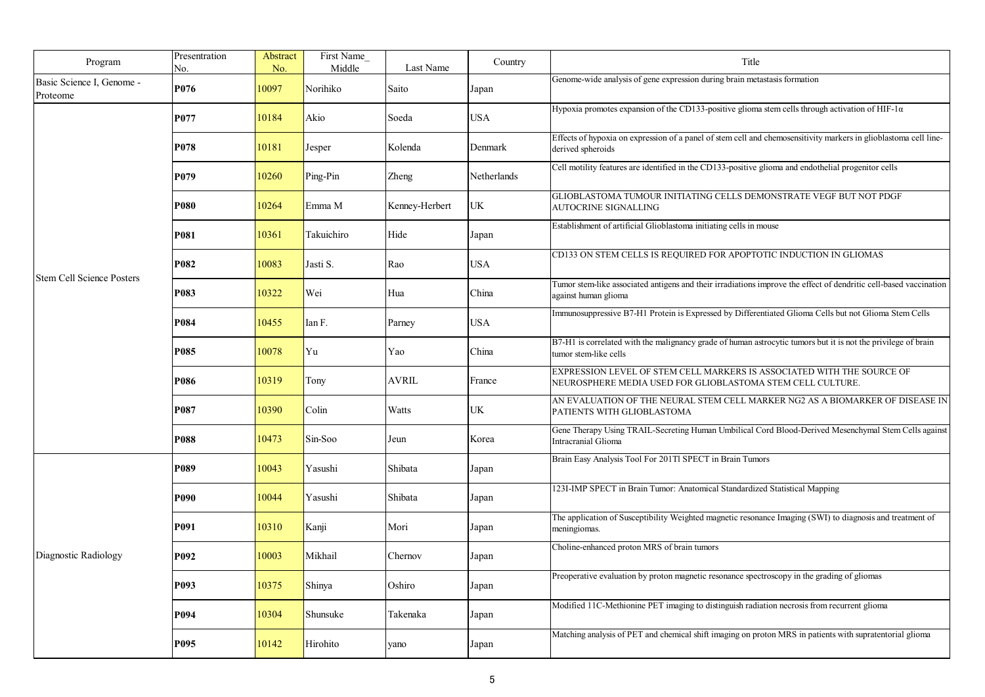| Program                                                  | Presentration<br>No. | Abstract<br>No. | First Name<br>Middle | Last Name      | Country     | Title                                                                                                                                     |
|----------------------------------------------------------|----------------------|-----------------|----------------------|----------------|-------------|-------------------------------------------------------------------------------------------------------------------------------------------|
| Basic Science I, Genome -<br>Proteome                    | P076                 | 10097           | Norihiko             | Saito          | Japan       | Genome-wide analysis of gene expression during brain metastasis formation                                                                 |
|                                                          | P077                 | 10184           | Akio                 | Soeda          | <b>USA</b>  | Hypoxia promotes expansion of the CD133-positive glioma stem cells through activation of HIF-1 $\alpha$                                   |
|                                                          | P078                 | 10181           | Jesper               | Kolenda        | Denmark     | Effects of hypoxia on expression of a panel of stem cell and chemosensitivity markers in glioblastoma cell line-<br>derived spheroids     |
|                                                          | P079                 | 10260           | Ping-Pin             | Zheng          | Netherlands | Cell motility features are identified in the CD133-positive glioma and endothelial progenitor cells                                       |
|                                                          | <b>P080</b>          | 10264           | Emma M               | Kenney-Herbert | <b>UK</b>   | GLIOBLASTOMA TUMOUR INITIATING CELLS DEMONSTRATE VEGF BUT NOT PDGF<br>AUTOCRINE SIGNALLING                                                |
|                                                          | P081                 | 10361           | Takuichiro           | Hide           | Japan       | Establishment of artificial Glioblastoma initiating cells in mouse                                                                        |
|                                                          | P082                 | 10083           | Jasti S.             | Rao            | <b>USA</b>  | CD133 ON STEM CELLS IS REQUIRED FOR APOPTOTIC INDUCTION IN GLIOMAS                                                                        |
| <b>Stem Cell Science Posters</b><br>P083<br>P084<br>P085 |                      | 10322           | Wei                  | Hua            | China       | Tumor stem-like associated antigens and their irradiations improve the effect of dendritic cell-based vaccination<br>against human glioma |
|                                                          |                      | 10455           | Ian F.               | Parney         | <b>USA</b>  | Immunosuppressive B7-H1 Protein is Expressed by Differentiated Glioma Cells but not Glioma Stem Cells                                     |
|                                                          |                      | 10078           | Yu                   | Yao            | China       | B7-H1 is correlated with the malignancy grade of human astrocytic tumors but it is not the privilege of brain<br>tumor stem-like cells    |
|                                                          | P086                 | 10319           | Tony                 | AVRIL          | France      | EXPRESSION LEVEL OF STEM CELL MARKERS IS ASSOCIATED WITH THE SOURCE OF<br>NEUROSPHERE MEDIA USED FOR GLIOBLASTOMA STEM CELL CULTURE.      |
|                                                          | P087                 | 10390           | Colin                | Watts          | UK          | AN EVALUATION OF THE NEURAL STEM CELL MARKER NG2 AS A BIOMARKER OF DISEASE IN<br>PATIENTS WITH GLIOBLASTOMA                               |
|                                                          | P088                 | 10473           | Sin-Soo              | Jeun           | Korea       | Gene Therapy Using TRAIL-Secreting Human Umbilical Cord Blood-Derived Mesenchymal Stem Cells against<br><b>Intracranial Glioma</b>        |
|                                                          | P089                 | 10043           | Yasushi              | Shibata        | Japan       | Brain Easy Analysis Tool For 201Tl SPECT in Brain Tumors                                                                                  |
|                                                          | P090                 | 10044           | Yasushi              | Shibata        | Japan       | 123I-IMP SPECT in Brain Tumor: Anatomical Standardized Statistical Mapping                                                                |
|                                                          | P091                 | 10310           | Kanji                | Mori           | Japan       | The application of Susceptibility Weighted magnetic resonance Imaging (SWI) to diagnosis and treatment of<br>meningiomas.                 |
| Diagnostic Radiology                                     | P092                 | 10003           | Mikhail              | Chernov        | Japan       | Choline-enhanced proton MRS of brain tumors                                                                                               |
|                                                          | P093                 | 10375           | Shinya               | Oshiro         | Japan       | Preoperative evaluation by proton magnetic resonance spectroscopy in the grading of gliomas                                               |
|                                                          | P094                 | 10304           | Shunsuke             | Takenaka       | Japan       | Modified 11C-Methionine PET imaging to distinguish radiation necrosis from recurrent glioma                                               |
|                                                          | P095                 | 10142           | Hirohito             | vano           | Japan       | Matching analysis of PET and chemical shift imaging on proton MRS in patients with supratentorial glioma                                  |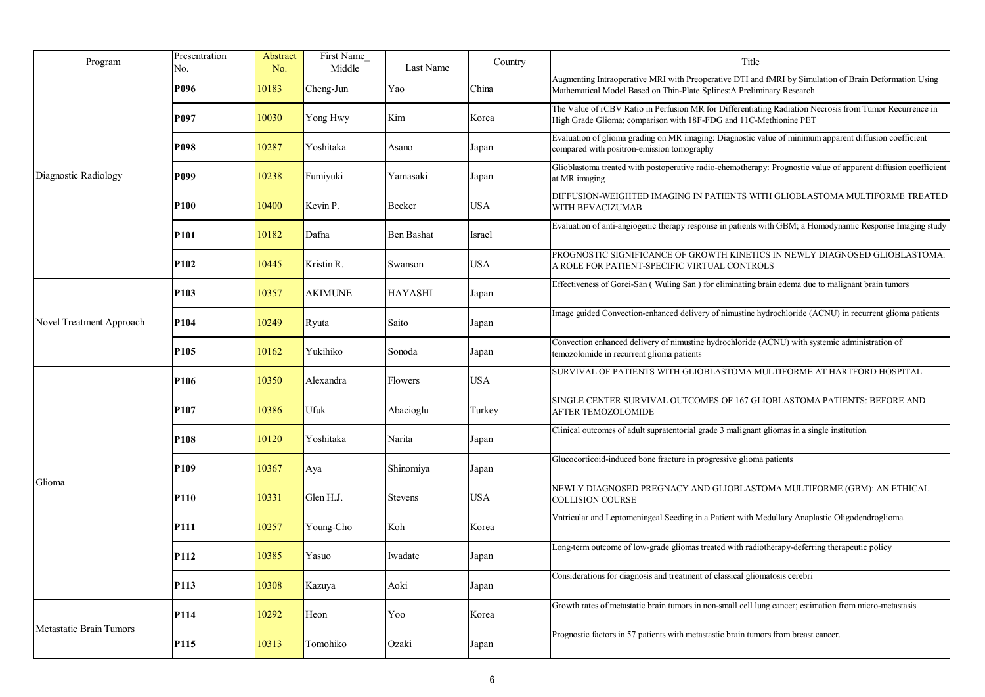| Program                        | Presentration<br>No. | Abstract<br>No. | First Name<br>Middle | Last Name         | Country    | Title                                                                                                                                                                           |
|--------------------------------|----------------------|-----------------|----------------------|-------------------|------------|---------------------------------------------------------------------------------------------------------------------------------------------------------------------------------|
|                                | P096                 | 10183           | Cheng-Jun            | Yao               | China      | Augmenting Intraoperative MRI with Preoperative DTI and fMRI by Simulation of Brain Deformation Using<br>Mathematical Model Based on Thin-Plate Splines: A Preliminary Research |
|                                | P097                 | 10030           | Yong Hwy             | Kim               | Korea      | The Value of rCBV Ratio in Perfusion MR for Differentiating Radiation Necrosis from Tumor Recurrence in<br>High Grade Glioma; comparison with 18F-FDG and 11C-Methionine PET    |
|                                | P098                 | 10287           | Yoshitaka            | Asano             | Japan      | Evaluation of glioma grading on MR imaging: Diagnostic value of minimum apparent diffusion coefficient<br>compared with positron-emission tomography                            |
| Diagnostic Radiology           | P099                 | 10238           | Fumiyuki             | Yamasaki          | Japan      | Glioblastoma treated with postoperative radio-chemotherapy: Prognostic value of apparent diffusion coefficient<br>at MR imaging                                                 |
|                                | <b>P100</b>          | 10400           | Kevin P.             | Becker            | USA        | DIFFUSION-WEIGHTED IMAGING IN PATIENTS WITH GLIOBLASTOMA MULTIFORME TREATED<br>WITH BEVACIZUMAB                                                                                 |
|                                | P101                 | 10182           | Dafna                | <b>Ben Bashat</b> | Israel     | Evaluation of anti-angiogenic therapy response in patients with GBM; a Homodynamic Response Imaging study                                                                       |
|                                | P <sub>102</sub>     | 10445           | Kristin R.           | Swanson           | <b>USA</b> | PROGNOSTIC SIGNIFICANCE OF GROWTH KINETICS IN NEWLY DIAGNOSED GLIOBLASTOMA:<br>A ROLE FOR PATIENT-SPECIFIC VIRTUAL CONTROLS                                                     |
|                                | P <sub>103</sub>     | 10357           | <b>AKIMUNE</b>       | <b>HAYASHI</b>    | Japan      | Effectiveness of Gorei-San (Wuling San) for eliminating brain edema due to malignant brain tumors                                                                               |
| Novel Treatment Approach       | P <sub>104</sub>     | 10249           | Ryuta                | Saito             | Japan      | Image guided Convection-enhanced delivery of nimustine hydrochloride (ACNU) in recurrent glioma patients                                                                        |
|                                | P <sub>105</sub>     | 10162           | Yukihiko             | Sonoda            | Japan      | Convection enhanced delivery of nimustine hydrochloride (ACNU) with systemic administration of<br>temozolomide in recurrent glioma patients                                     |
|                                | P <sub>106</sub>     | 10350           | Alexandra            | Flowers           | <b>USA</b> | SURVIVAL OF PATIENTS WITH GLIOBLASTOMA MULTIFORME AT HARTFORD HOSPITAL                                                                                                          |
|                                | P107                 | 10386           | Ufuk                 | Abacioglu         | Turkey     | SINGLE CENTER SURVIVAL OUTCOMES OF 167 GLIOBLASTOMA PATIENTS: BEFORE AND<br><b>AFTER TEMOZOLOMIDE</b>                                                                           |
|                                | P108                 | 10120           | Yoshitaka            | Narita            | Japan      | Clinical outcomes of adult supratentorial grade 3 malignant gliomas in a single institution                                                                                     |
|                                | P <sub>109</sub>     | 10367           | Aya                  | Shinomiya         | Japan      | Glucocorticoid-induced bone fracture in progressive glioma patients                                                                                                             |
| Glioma                         | P110                 | 10331           | Glen H.J.            | <b>Stevens</b>    | USA        | NEWLY DIAGNOSED PREGNACY AND GLIOBLASTOMA MULTIFORME (GBM): AN ETHICAL<br>COLLISION COURSE                                                                                      |
|                                | P <sub>111</sub>     | 10257           | Young-Cho            | Koh               | Korea      | Vntricular and Leptomeningeal Seeding in a Patient with Medullary Anaplastic Oligodendroglioma                                                                                  |
|                                | P112                 | 10385           | Yasuo                | Iwadate           | Japan      | Long-term outcome of low-grade gliomas treated with radiotherapy-deferring therapeutic policy                                                                                   |
|                                | P113                 | 10308           | Kazuya               | Aoki              | Japan      | Considerations for diagnosis and treatment of classical gliomatosis cerebri                                                                                                     |
|                                | P114                 | 10292           | Heon                 | Yoo               | Korea      | Growth rates of metastatic brain tumors in non-small cell lung cancer; estimation from micro-metastasis                                                                         |
| <b>Metastatic Brain Tumors</b> | P115                 | 10313           | Tomohiko             | Ozaki             | Japan      | Prognostic factors in 57 patients with metastastic brain tumors from breast cancer.                                                                                             |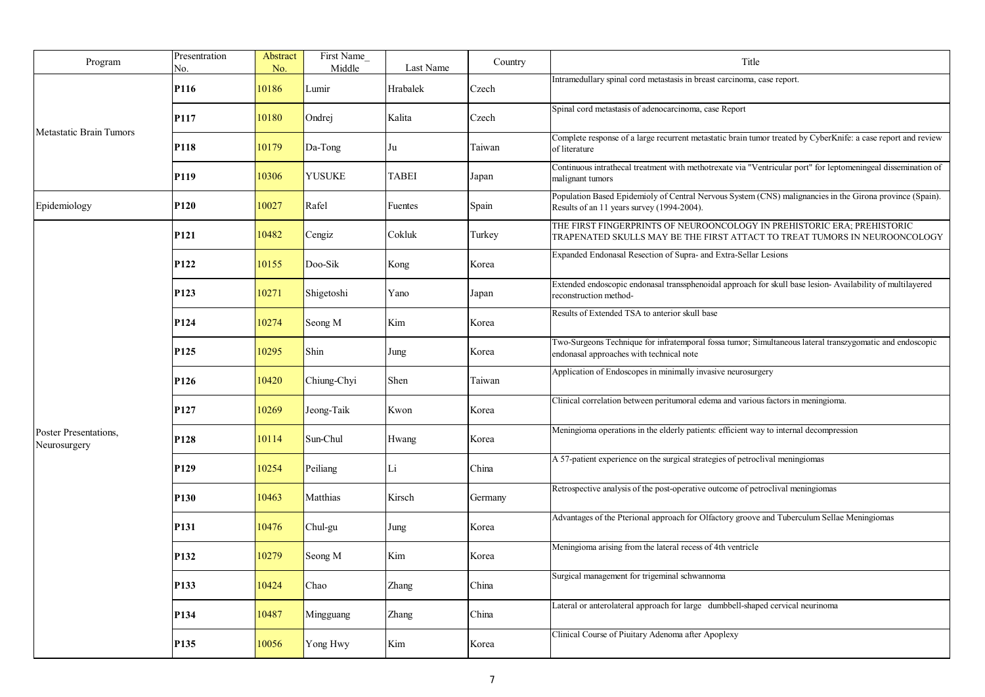| Program                               | Presentration<br>No. | Abstract<br>No. | First Name<br>Middle | Last Name    | Country | Title                                                                                                                                                  |
|---------------------------------------|----------------------|-----------------|----------------------|--------------|---------|--------------------------------------------------------------------------------------------------------------------------------------------------------|
|                                       | P116                 | 10186           | Lumir                | Hrabalek     | Czech   | Intramedullary spinal cord metastasis in breast carcinoma, case report.                                                                                |
|                                       | P117                 | 10180           | Ondrej               | Kalita       | Czech   | Spinal cord metastasis of adenocarcinoma, case Report                                                                                                  |
| <b>Metastatic Brain Tumors</b>        | P118                 | 10179           | $Da-Tong$            | Ju           | Taiwan  | Complete response of a large recurrent metastatic brain tumor treated by CyberKnife: a case report and review<br>of literature                         |
|                                       | P <sub>119</sub>     | 10306           | <b>YUSUKE</b>        | <b>TABEI</b> | Japan   | Continuous intrathecal treatment with methotrexate via "Ventricular port" for leptomeningeal dissemination of<br>malignant tumors                      |
| Epidemiology                          | P <sub>120</sub>     | 10027           | Rafel                | Fuentes      | Spain   | Population Based Epidemioly of Central Nervous System (CNS) malignancies in the Girona province (Spain).<br>Results of an 11 years survey (1994-2004). |
|                                       | P <sub>121</sub>     | 10482           | Cengiz               | Cokluk       | Turkey  | THE FIRST FINGERPRINTS OF NEUROONCOLOGY IN PREHISTORIC ERA; PREHISTORIC<br>TRAPENATED SKULLS MAY BE THE FIRST ATTACT TO TREAT TUMORS IN NEUROONCOLOGY  |
|                                       | P <sub>122</sub>     | 10155           | Doo-Sik              | Kong         | Korea   | Expanded Endonasal Resection of Supra- and Extra-Sellar Lesions                                                                                        |
|                                       | P <sub>123</sub>     | 10271           | Shigetoshi           | Yano         | Japan   | Extended endoscopic endonasal transsphenoidal approach for skull base lesion- Availability of multilayered<br>reconstruction method-                   |
|                                       | P124                 | 10274           | Seong M              | Kim          | Korea   | Results of Extended TSA to anterior skull base                                                                                                         |
|                                       | P <sub>125</sub>     | 10295           | Shin                 | Jung         | Korea   | Two-Surgeons Technique for infratemporal fossa tumor; Simultaneous lateral transzygomatic and endoscopic<br>endonasal approaches with technical note   |
|                                       | P <sub>126</sub>     | 10420           | Chiung-Chyi          | Shen         | Taiwan  | Application of Endoscopes in minimally invasive neurosurgery                                                                                           |
|                                       | P <sub>127</sub>     | 10269           | Jeong-Taik           | Kwon         | Korea   | Clinical correlation between peritumoral edema and various factors in meningioma.                                                                      |
| Poster Presentations,<br>Neurosurgery | P <sub>128</sub>     | 10114           | Sun-Chul             | Hwang        | Korea   | Meningioma operations in the elderly patients: efficient way to internal decompression                                                                 |
|                                       | P <sub>129</sub>     | 10254           | Peiliang             | Li           | China   | A 57-patient experience on the surgical strategies of petroclival meningiomas                                                                          |
|                                       | P <sub>130</sub>     | 10463           | Matthias             | Kirsch       | Germany | Retrospective analysis of the post-operative outcome of petroclival meningiomas                                                                        |
|                                       | P <sub>131</sub>     | 10476           | Chul-gu              | Jung         | Korea   | Advantages of the Pterional approach for Olfactory groove and Tuberculum Sellae Meningiomas                                                            |
|                                       | P <sub>132</sub>     | 10279           | Seong M              | Kim          | Korea   | Meningioma arising from the lateral recess of 4th ventricle                                                                                            |
|                                       | P133                 | 10424           | Chao                 | Zhang        | China   | Surgical management for trigeminal schwannoma                                                                                                          |
|                                       | P134                 | 10487           | Mingguang            | Zhang        | China   | Lateral or anterolateral approach for large dumbbell-shaped cervical neurinoma                                                                         |
|                                       | P <sub>135</sub>     | 10056           | Yong Hwy             | Kim          | Korea   | Clinical Course of Piuitary Adenoma after Apoplexy                                                                                                     |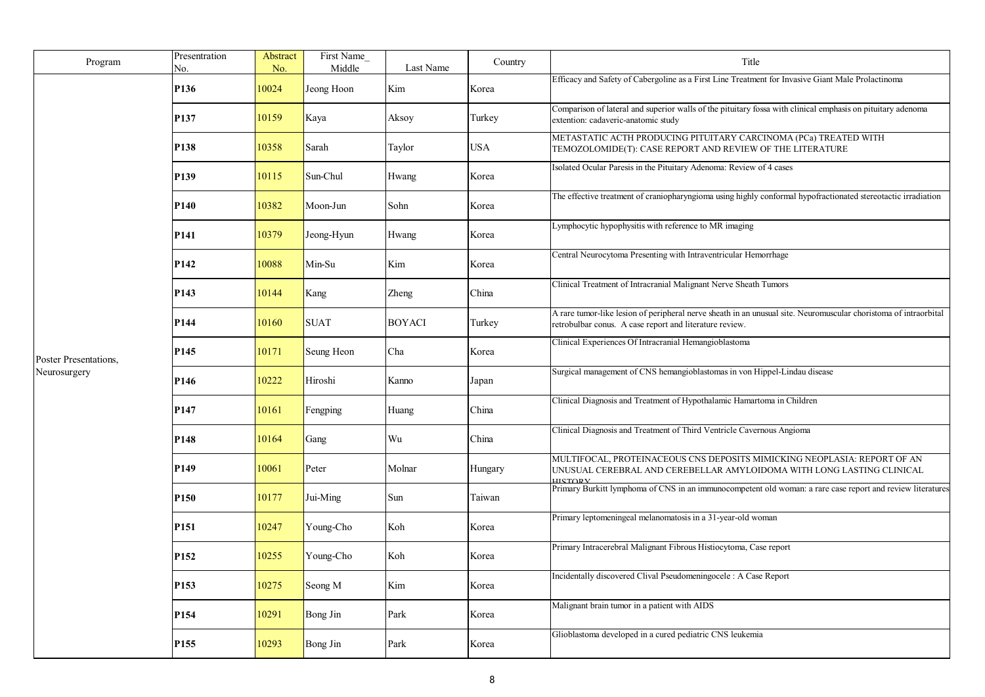| Program               | Presentration<br>No. | Abstract<br>No. | First Name<br>Middle | Last Name     | Country    | Title                                                                                                                                                                       |
|-----------------------|----------------------|-----------------|----------------------|---------------|------------|-----------------------------------------------------------------------------------------------------------------------------------------------------------------------------|
|                       | P <sub>136</sub>     | 10024           | Jeong Hoon           | Kim           | Korea      | Efficacy and Safety of Cabergoline as a First Line Treatment for Invasive Giant Male Prolactinoma                                                                           |
|                       | P137                 | 10159           | Kaya                 | Aksoy         | Turkey     | Comparison of lateral and superior walls of the pituitary fossa with clinical emphasis on pituitary adenoma<br>extention: cadaveric-anatomic study                          |
|                       | P138                 | 10358           | Sarah                | Taylor        | <b>USA</b> | METASTATIC ACTH PRODUCING PITUITARY CARCINOMA (PCa) TREATED WITH<br>TEMOZOLOMIDE(T): CASE REPORT AND REVIEW OF THE LITERATURE                                               |
|                       | P <sub>139</sub>     | 10115           | Sun-Chul             | Hwang         | Korea      | Isolated Ocular Paresis in the Pituitary Adenoma: Review of 4 cases                                                                                                         |
|                       | <b>P140</b>          | 10382           | Moon-Jun             | Sohn          | Korea      | The effective treatment of craniopharyngioma using highly conformal hypofractionated stereotactic irradiation                                                               |
|                       | P <sub>141</sub>     | 10379           | Jeong-Hyun           | Hwang         | Korea      | Lymphocytic hypophysitis with reference to MR imaging                                                                                                                       |
|                       | P <sub>142</sub>     | 10088           | Min-Su               | Kim           | Korea      | Central Neurocytoma Presenting with Intraventricular Hemorrhage                                                                                                             |
|                       | P <sub>143</sub>     | 10144           | Kang                 | <b>Zheng</b>  | China      | Clinical Treatment of Intracranial Malignant Nerve Sheath Tumors                                                                                                            |
|                       | P <sub>144</sub>     | 10160           | <b>SUAT</b>          | <b>BOYACI</b> | Turkey     | A rare tumor-like lesion of peripheral nerve sheath in an unusual site. Neuromuscular choristoma of intraorbital<br>retrobulbar conus. A case report and literature review. |
| Poster Presentations, | P <sub>145</sub>     | 10171           | Seung Heon           | Cha           | Korea      | Clinical Experiences Of Intracranial Hemangioblastoma                                                                                                                       |
| Neurosurgery          | P <sub>146</sub>     | 10222           | Hiroshi              | Kanno         | Japan      | Surgical management of CNS hemangioblastomas in von Hippel-Lindau disease                                                                                                   |
|                       | P <sub>147</sub>     | 10161           | Fengping             | Huang         | China      | Clinical Diagnosis and Treatment of Hypothalamic Hamartoma in Children                                                                                                      |
|                       | P <sub>148</sub>     | 10164           | Gang                 | Wu            | China      | Clinical Diagnosis and Treatment of Third Ventricle Cavernous Angioma                                                                                                       |
|                       | P <sub>149</sub>     | 10061           | Peter                | Molnar        | Hungary    | MULTIFOCAL, PROTEINACEOUS CNS DEPOSITS MIMICKING NEOPLASIA: REPORT OF AN<br>UNUSUAL CEREBRAL AND CEREBELLAR AMYLOIDOMA WITH LONG LASTING CLINICAL<br><b>HISTORY</b>         |
|                       | <b>P150</b>          | 10177           | Jui-Ming             | Sun           | Taiwan     | Primary Burkitt lymphoma of CNS in an immunocompetent old woman: a rare case report and review literatures                                                                  |
|                       | P <sub>151</sub>     | 10247           | Young-Cho            | Koh           | Korea      | Primary leptomeningeal melanomatosis in a 31-year-old woman                                                                                                                 |
|                       | P <sub>152</sub>     | 10255           | Young-Cho            | Koh           | Korea      | Primary Intracerebral Malignant Fibrous Histiocytoma, Case report                                                                                                           |
|                       | P <sub>153</sub>     | 10275           | Seong M              | Kim           | Korea      | Incidentally discovered Clival Pseudomeningocele: A Case Report                                                                                                             |
|                       | P <sub>154</sub>     | 10291           | Bong Jin             | Park          | Korea      | Malignant brain tumor in a patient with AIDS                                                                                                                                |
|                       | P <sub>155</sub>     | 10293           | Bong Jin             | Park          | Korea      | Glioblastoma developed in a cured pediatric CNS leukemia                                                                                                                    |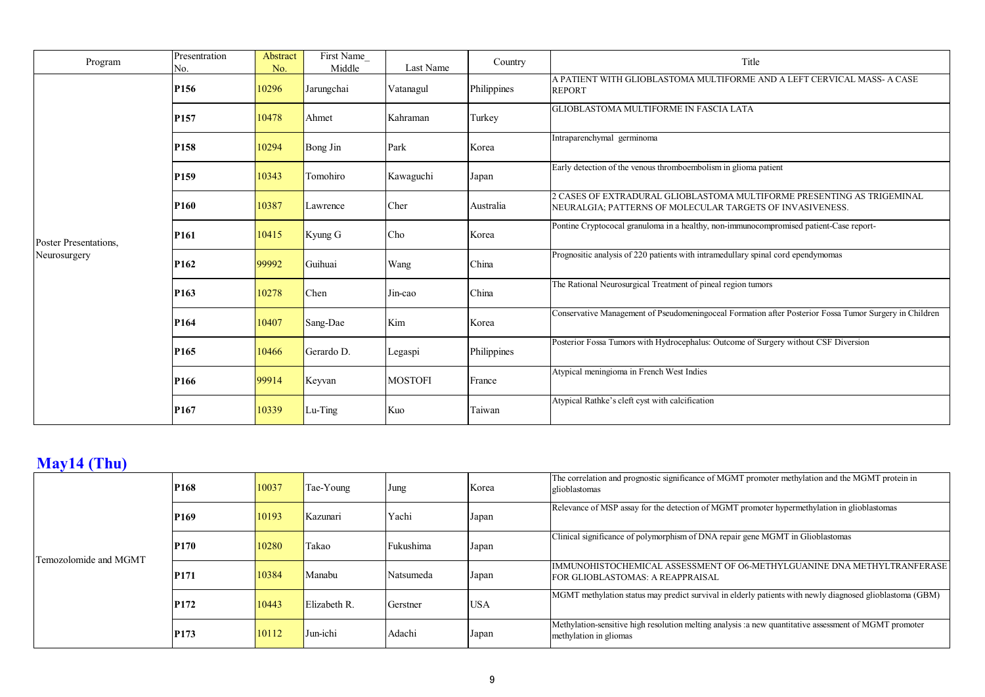| Program               | Presentration<br>No. | Abstract<br>No. | First Name<br>Middle | Last Name      | Country     | Title                                                                                                                             |
|-----------------------|----------------------|-----------------|----------------------|----------------|-------------|-----------------------------------------------------------------------------------------------------------------------------------|
|                       | P <sub>156</sub>     | 10296           | Jarungchai           | Vatanagul      | Philippines | A PATIENT WITH GLIOBLASTOMA MULTIFORME AND A LEFT CERVICAL MASS- A CASE<br><b>REPORT</b>                                          |
|                       | P <sub>157</sub>     | 10478           | Ahmet                | Kahraman       | Turkey      | <b>GLIOBLASTOMA MULTIFORME IN FASCIA LATA</b>                                                                                     |
|                       | P <sub>158</sub>     | 10294           | <b>Bong Jin</b>      | Park           | Korea       | Intraparenchymal germinoma                                                                                                        |
|                       | P <sub>159</sub>     | 10343           | Tomohiro             | Kawaguchi      | Japan       | Early detection of the venous thromboembolism in glioma patient                                                                   |
|                       | P <sub>160</sub>     | 10387           | Lawrence             | Cher           | Australia   | CASES OF EXTRADURAL GLIOBLASTOMA MULTIFORME PRESENTING AS TRIGEMINAL<br>NEURALGIA; PATTERNS OF MOLECULAR TARGETS OF INVASIVENESS. |
| Poster Presentations. | P <sub>161</sub>     | 10415           | Kyung G              | Cho            | Korea       | Pontine Cryptococal granuloma in a healthy, non-immunocompromised patient-Case report-                                            |
| Neurosurgery          | P <sub>162</sub>     | 99992           | Guihuai              | Wang           | China       | Prognositic analysis of 220 patients with intramedullary spinal cord ependymomas                                                  |
|                       | P <sub>163</sub>     | 10278           | Chen                 | Jin-cao        | China       | The Rational Neurosurgical Treatment of pineal region tumors                                                                      |
|                       | P <sub>164</sub>     | 10407           | Sang-Dae             | Kim            | Korea       | Conservative Management of Pseudomeningoceal Formation after Posterior Fossa Tumor Surgery in Children                            |
|                       | P <sub>165</sub>     | 10466           | Gerardo D.           | Legaspi        | Philippines | Posterior Fossa Tumors with Hydrocephalus: Outcome of Surgery without CSF Diversion                                               |
|                       | P <sub>166</sub>     | 99914           | Keyvan               | <b>MOSTOFI</b> | France      | Atypical meningioma in French West Indies                                                                                         |
|                       | P <sub>167</sub>     | 10339           | $Lu-Ting$            | Kuo            | Taiwan      | Atypical Rathke's cleft cyst with calcification                                                                                   |

## **May14 (Thu)**

| Temozolomide and MGMT | <b>P168</b>      | 10037 | Tae-Young    | Jung      | Korea      | The correlation and prognostic significance of MGMT promoter methylation and the MGMT protein in<br>glioblastomas                 |
|-----------------------|------------------|-------|--------------|-----------|------------|-----------------------------------------------------------------------------------------------------------------------------------|
|                       | P <sub>169</sub> | 10193 | Kazunari     | Yachi     | Japan      | Relevance of MSP assay for the detection of MGMT promoter hypermethylation in glioblastomas                                       |
|                       | <b>P170</b>      | 10280 | Takao        | Fukushima | Japan      | Clinical significance of polymorphism of DNA repair gene MGMT in Glioblastomas                                                    |
|                       | P <sub>171</sub> | 10384 | Manabu       | Natsumeda | Japan      | IIMMUNOHISTOCHEMICAL ASSESSMENT OF O6-METHYLGUANINE DNA METHYLTRANFERASE<br><b>FOR GLIOBLASTOMAS: A REAPPRAISAL</b>               |
|                       | P172             | 10443 | Elizabeth R. | Gerstner  | <b>USA</b> | MGMT methylation status may predict survival in elderly patients with newly diagnosed glioblastoma (GBM)                          |
|                       | <b>P173</b>      | 10112 | Jun-ichi     | Adachi    | Japan      | Methylation-sensitive high resolution melting analysis : a new quantitative assessment of MGMT promoter<br>methylation in gliomas |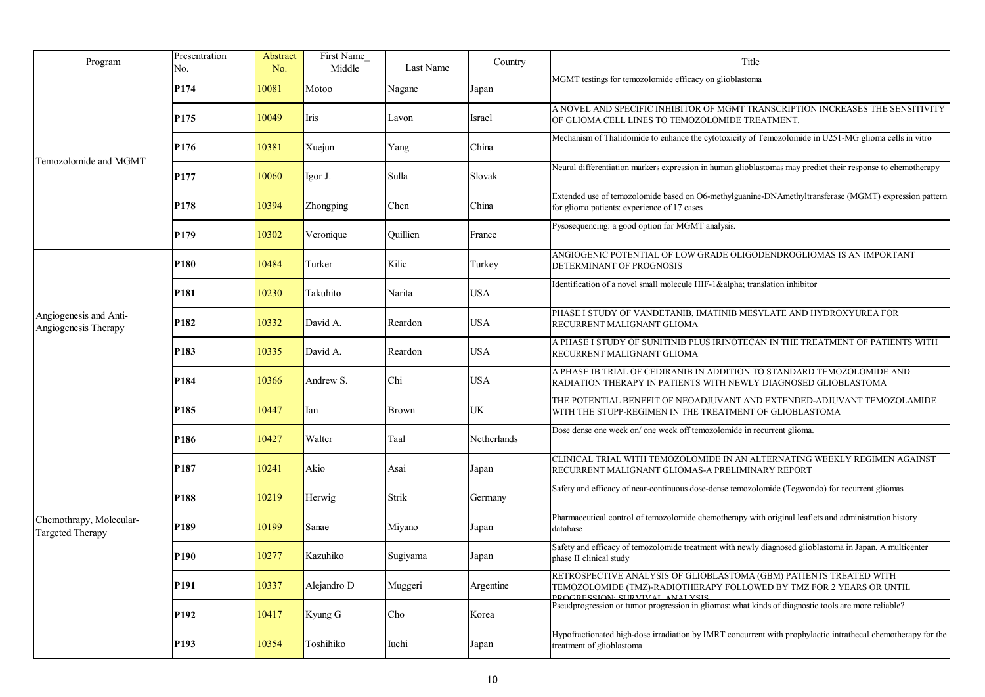| Program                                            | Presentration<br>No. | Abstract<br>No. | First Name<br>Middle | Last Name    | Country     | Title                                                                                                                                                                               |
|----------------------------------------------------|----------------------|-----------------|----------------------|--------------|-------------|-------------------------------------------------------------------------------------------------------------------------------------------------------------------------------------|
|                                                    | P174                 | 10081           | Motoo                | Nagane       | Japan       | MGMT testings for temozolomide efficacy on glioblastoma                                                                                                                             |
|                                                    | P <sub>175</sub>     | 10049           | Iris                 | Lavon        | Israel      | A NOVEL AND SPECIFIC INHIBITOR OF MGMT TRANSCRIPTION INCREASES THE SENSITIVITY<br>OF GLIOMA CELL LINES TO TEMOZOLOMIDE TREATMENT.                                                   |
|                                                    | P176                 | 10381           | Xuejun               | Yang         | China       | Mechanism of Thalidomide to enhance the cytotoxicity of Temozolomide in U251-MG glioma cells in vitro                                                                               |
| Temozolomide and MGMT                              | P177                 | 10060           | Igor J.              | Sulla        | Slovak      | Neural differentiation markers expression in human glioblastomas may predict their response to chemotherapy                                                                         |
|                                                    | P178                 | 10394           | Zhongping            | Chen         | China       | Extended use of temozolomide based on O6-methylguanine-DNAmethyltransferase (MGMT) expression pattern<br>for glioma patients: experience of 17 cases                                |
|                                                    | P <sub>179</sub>     | 10302           | Veronique            | Quillien     | France      | Pysosequencing: a good option for MGMT analysis.                                                                                                                                    |
|                                                    | P <sub>180</sub>     | 10484           | Turker               | Kilic        | Turkey      | ANGIOGENIC POTENTIAL OF LOW GRADE OLIGODENDROGLIOMAS IS AN IMPORTANT<br>DETERMINANT OF PROGNOSIS                                                                                    |
| Angiogenesis and Anti-<br>Angiogenesis Therapy     | P <sub>181</sub>     | 10230           | Takuhito             | Narita       | USA         | Identification of a novel small molecule HIF-1α translation inhibitor                                                                                                               |
|                                                    | P <sub>182</sub>     | 10332           | David A.             | Reardon      | USA         | PHASE I STUDY OF VANDETANIB, IMATINIB MESYLATE AND HYDROXYUREA FOR<br>RECURRENT MALIGNANT GLIOMA                                                                                    |
|                                                    | P <sub>183</sub>     | 10335           | David A.             | Reardon      | USA         | A PHASE I STUDY OF SUNITINIB PLUS IRINOTECAN IN THE TREATMENT OF PATIENTS WITH<br>RECURRENT MALIGNANT GLIOMA                                                                        |
|                                                    | P <sub>184</sub>     | 10366           | Andrew S.            | Chi          | USA         | A PHASE IB TRIAL OF CEDIRANIB IN ADDITION TO STANDARD TEMOZOLOMIDE AND<br>RADIATION THERAPY IN PATIENTS WITH NEWLY DIAGNOSED GLIOBLASTOMA                                           |
|                                                    | P <sub>185</sub>     | 10447           | Ian                  | <b>Brown</b> | UK          | THE POTENTIAL BENEFIT OF NEOADJUVANT AND EXTENDED-ADJUVANT TEMOZOLAMIDE<br>WITH THE STUPP-REGIMEN IN THE TREATMENT OF GLIOBLASTOMA                                                  |
|                                                    | P <sub>186</sub>     | 10427           | Walter               | Taal         | Netherlands | Dose dense one week on/one week off temozolomide in recurrent glioma.                                                                                                               |
|                                                    | P <sub>187</sub>     | 10241           | Akio                 | Asai         | Japan       | CLINICAL TRIAL WITH TEMOZOLOMIDE IN AN ALTERNATING WEEKLY REGIMEN AGAINST<br>RECURRENT MALIGNANT GLIOMAS-A PRELIMINARY REPORT                                                       |
|                                                    | P188                 | 10219           | Herwig               | Strik        | Germany     | Safety and efficacy of near-continuous dose-dense temozolomide (Tegwondo) for recurrent gliomas                                                                                     |
| Chemothrapy, Molecular-<br><b>Targeted Therapy</b> | P <sub>189</sub>     | 10199           | Sanae                | Miyano       | Japan       | Pharmaceutical control of temozolomide chemotherapy with original leaflets and administration history<br>database                                                                   |
|                                                    | P <sub>190</sub>     | 10277           | Kazuhiko             | Sugiyama     | Japan       | Safety and efficacy of temozolomide treatment with newly diagnosed glioblastoma in Japan. A multicenter<br>phase II clinical study                                                  |
|                                                    | P <sub>191</sub>     | 10337           | Alejandro D          | Muggeri      | Argentine   | RETROSPECTIVE ANALYSIS OF GLIOBLASTOMA (GBM) PATIENTS TREATED WITH<br>TEMOZOLOMIDE (TMZ)-RADIOTHERAPY FOLLOWED BY TMZ FOR 2 YEARS OR UNTIL<br><b>DEOCRESSION: SURVIVAL ANALYSIS</b> |
|                                                    | P <sub>192</sub>     | 10417           | Kyung G              | Cho          | Korea       | Pseudprogression or tumor progression in gliomas: what kinds of diagnostic tools are more reliable?                                                                                 |
|                                                    | P <sub>193</sub>     | 10354           | Toshihiko            | Iuchi        | Japan       | Hypofractionated high-dose irradiation by IMRT concurrent with prophylactic intrathecal chemotherapy for the<br>treatment of glioblastoma                                           |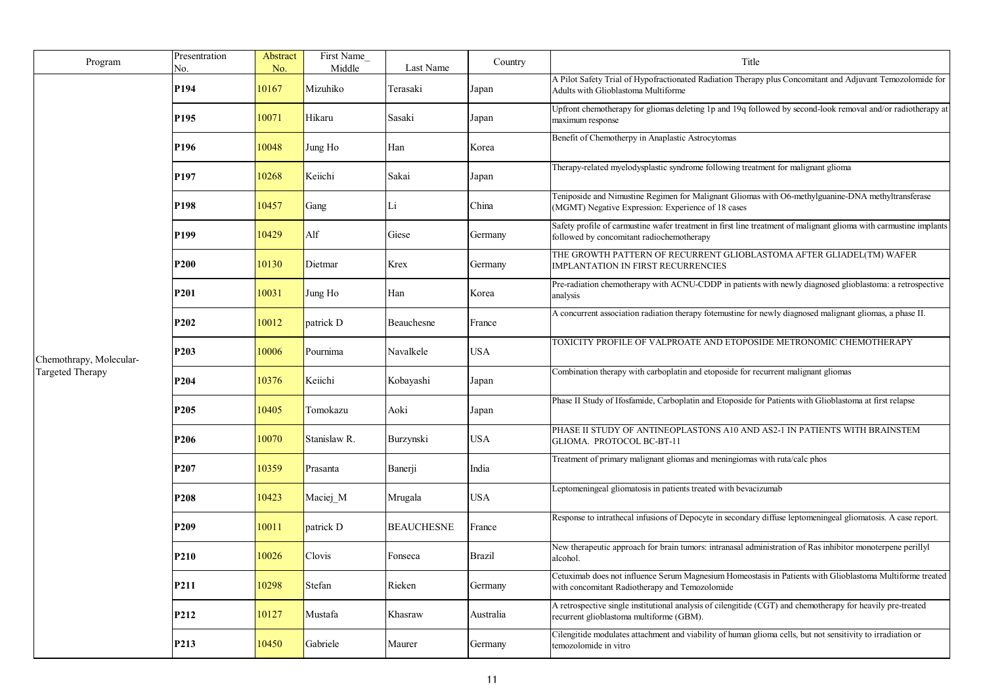| Program                 | Presentration<br>No. | Abstract<br>No. | First Name<br>Middle | Last Name         | Country    | Title                                                                                                                                                          |
|-------------------------|----------------------|-----------------|----------------------|-------------------|------------|----------------------------------------------------------------------------------------------------------------------------------------------------------------|
|                         | P <sub>194</sub>     | 10167           | Mizuhiko             | Terasaki          | Japan      | A Pilot Safety Trial of Hypofractionated Radiation Therapy plus Concomitant and Adjuvant Temozolomide for<br>Adults with Glioblastoma Multiforme               |
|                         | P <sub>195</sub>     | 10071           | Hikaru               | Sasaki            | Japan      | Upfront chemotherapy for gliomas deleting 1p and 19q followed by second-look removal and/or radiotherapy at<br>maximum response                                |
|                         | P <sub>196</sub>     | 10048           | Jung Ho              | Han               | Korea      | Benefit of Chemotherpy in Anaplastic Astrocytomas                                                                                                              |
|                         | P197                 | 10268           | Keiichi              | Sakai             | Japan      | Therapy-related myelodysplastic syndrome following treatment for malignant glioma                                                                              |
|                         | P198                 | 10457           | Gang                 | Li                | China      | Teniposide and Nimustine Regimen for Malignant Gliomas with O6-methylguanine-DNA methyltransferase<br>(MGMT) Negative Expression: Experience of 18 cases       |
|                         | P <sub>199</sub>     | 10429           | Alf                  | Giese             | Germany    | Safety profile of carmustine wafer treatment in first line treatment of malignant glioma with carmustine implants<br>followed by concomitant radiochemotherapy |
|                         | P200                 | 10130           | Dietmar              | Krex              | Germany    | THE GROWTH PATTERN OF RECURRENT GLIOBLASTOMA AFTER GLIADEL(TM) WAFER<br><b>IMPLANTATION IN FIRST RECURRENCIES</b>                                              |
|                         | P <sub>201</sub>     | 10031           | Jung Ho              | Han               | Korea      | Pre-radiation chemotherapy with ACNU-CDDP in patients with newly diagnosed glioblastoma: a retrospective<br>analysis                                           |
|                         | P202                 | 10012           | patrick D            | Beauchesne        | France     | A concurrent association radiation therapy fotemustine for newly diagnosed malignant gliomas, a phase II.                                                      |
| Chemothrapy, Molecular- | P <sub>203</sub>     | 10006           | Pournima             | Navalkele         | <b>USA</b> | TOXICITY PROFILE OF VALPROATE AND ETOPOSIDE METRONOMIC CHEMOTHERAPY                                                                                            |
| <b>Targeted Therapy</b> | P <sub>204</sub>     | 10376           | Keiichi              | Kobayashi         | Japan      | Combination therapy with carboplatin and etoposide for recurrent malignant gliomas                                                                             |
|                         | P205                 | 10405           | Tomokazu             | Aoki              | Japan      | Phase II Study of Ifosfamide, Carboplatin and Etoposide for Patients with Glioblastoma at first relapse                                                        |
|                         | P206                 | 10070           | Stanislaw R.         | Burzynski         | <b>USA</b> | PHASE II STUDY OF ANTINEOPLASTONS A10 AND AS2-1 IN PATIENTS WITH BRAINSTEM<br>GLIOMA. PROTOCOL BC-BT-11                                                        |
|                         | P <sub>207</sub>     | 10359           | Prasanta             | Banerji           | India      | Treatment of primary malignant gliomas and meningiomas with ruta/calc phos                                                                                     |
|                         | P208                 | 10423           | Maciej M             | Mrugala           | <b>USA</b> | Leptomeningeal gliomatosis in patients treated with bevacizumab                                                                                                |
|                         | P <sub>209</sub>     | 10011           | patrick D            | <b>BEAUCHESNE</b> | France     | Response to intrathecal infusions of Depocyte in secondary diffuse leptomeningeal gliomatosis. A case report.                                                  |
|                         | P210                 | 10026           | Clovis               | Fonseca           | Brazil     | New therapeutic approach for brain tumors: intranasal administration of Ras inhibitor monoterpene perillyl<br>alcohol.                                         |
|                         | P211                 | 10298           | Stefan               | Rieken            | Germany    | Cetuximab does not influence Serum Magnesium Homeostasis in Patients with Glioblastoma Multiforme treated<br>with concomitant Radiotherapy and Temozolomide    |
|                         | P212                 | 10127           | Mustafa              | Khasraw           | Australia  | A retrospective single institutional analysis of cilengitide (CGT) and chemotherapy for heavily pre-treated<br>recurrent glioblastoma multiforme (GBM).        |
|                         | P213                 | 10450           | Gabriele             | Maurer            | Germany    | Cilengitide modulates attachment and viability of human glioma cells, but not sensitivity to irradiation or<br>temozolomide in vitro                           |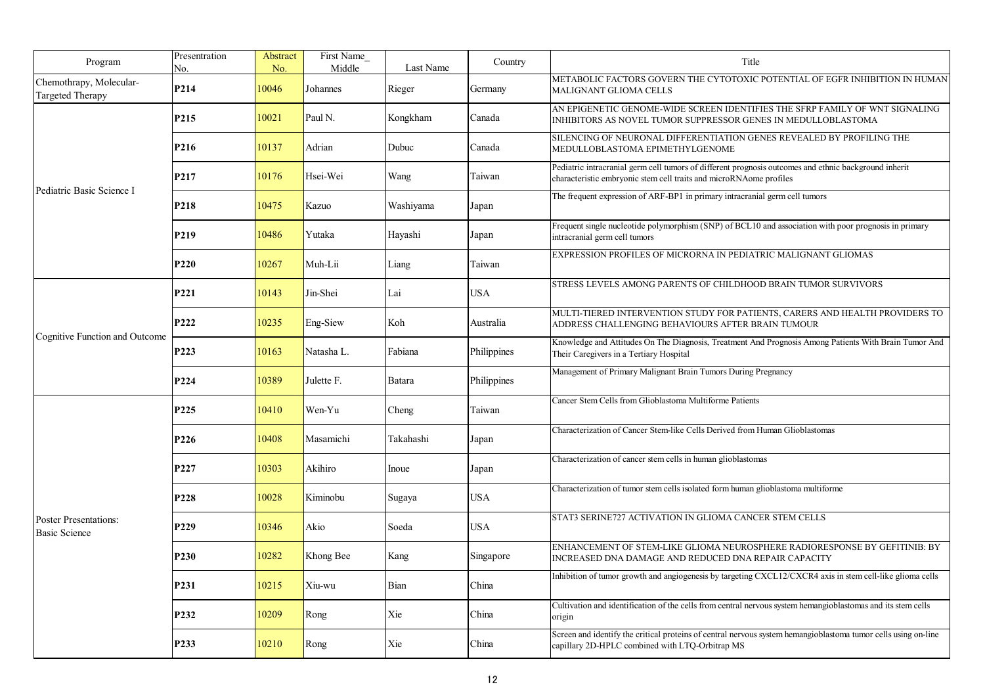| Program                                              | Presentration<br>No. | Abstract<br>No. | First Name<br>Middle | Last Name | Country     | Title                                                                                                                                                                       |
|------------------------------------------------------|----------------------|-----------------|----------------------|-----------|-------------|-----------------------------------------------------------------------------------------------------------------------------------------------------------------------------|
| Chemothrapy, Molecular-<br><b>Targeted Therapy</b>   | P214                 | 10046           | Johannes             | Rieger    | Germany     | METABOLIC FACTORS GOVERN THE CYTOTOXIC POTENTIAL OF EGFR INHIBITION IN HUMAN<br>MALIGNANT GLIOMA CELLS                                                                      |
|                                                      | P215                 | 10021           | Paul N.              | Kongkham  | Canada      | AN EPIGENETIC GENOME-WIDE SCREEN IDENTIFIES THE SFRP FAMILY OF WNT SIGNALING<br>INHIBITORS AS NOVEL TUMOR SUPPRESSOR GENES IN MEDULLOBLASTOMA                               |
|                                                      | P216                 | 10137           | Adrian               | Dubuc     | Canada      | SILENCING OF NEURONAL DIFFERENTIATION GENES REVEALED BY PROFILING THE<br>MEDULLOBLASTOMA EPIMETHYLGENOME                                                                    |
|                                                      | P217                 | 10176           | Hsei-Wei             | Wang      | Taiwan      | Pediatric intracranial germ cell tumors of different prognosis outcomes and ethnic background inherit<br>characteristic embryonic stem cell traits and microRNAome profiles |
| Pediatric Basic Science I                            | <b>P218</b>          | 10475           | Kazuo                | Washiyama | Japan       | The frequent expression of ARF-BP1 in primary intracranial germ cell tumors                                                                                                 |
|                                                      | P219                 | 10486           | Yutaka               | Hayashi   | Japan       | Frequent single nucleotide polymorphism (SNP) of BCL10 and association with poor prognosis in primary<br>intracranial germ cell tumors                                      |
|                                                      | P <sub>220</sub>     | 10267           | Muh-Lii              | Liang     | Taiwan      | EXPRESSION PROFILES OF MICRORNA IN PEDIATRIC MALIGNANT GLIOMAS                                                                                                              |
|                                                      | P221                 | 10143           | Jin-Shei             | Lai       | <b>USA</b>  | STRESS LEVELS AMONG PARENTS OF CHILDHOOD BRAIN TUMOR SURVIVORS                                                                                                              |
|                                                      | P222                 | 10235           | Eng-Siew             | Koh       | Australia   | MULTI-TIERED INTERVENTION STUDY FOR PATIENTS, CARERS AND HEALTH PROVIDERS TO<br>ADDRESS CHALLENGING BEHAVIOURS AFTER BRAIN TUMOUR                                           |
| Cognitive Function and Outcome                       | P223                 | 10163           | Natasha L.           | Fabiana   | Philippines | Knowledge and Attitudes On The Diagnosis, Treatment And Prognosis Among Patients With Brain Tumor And<br>Their Caregivers in a Tertiary Hospital                            |
|                                                      | P224                 | 10389           | Julette F.           | Batara    | Philippines | Management of Primary Malignant Brain Tumors During Pregnancy                                                                                                               |
|                                                      | P225                 | 10410           | Wen-Yu               | Cheng     | Taiwan      | Cancer Stem Cells from Glioblastoma Multiforme Patients                                                                                                                     |
|                                                      | P226                 | 10408           | Masamichi            | Takahashi | Japan       | Characterization of Cancer Stem-like Cells Derived from Human Glioblastomas                                                                                                 |
|                                                      | P227                 | 10303           | Akihiro              | Inoue     | Japan       | Characterization of cancer stem cells in human glioblastomas                                                                                                                |
|                                                      | P228                 | 10028           | Kiminobu             | Sugaya    | USA         | Characterization of tumor stem cells isolated form human glioblastoma multiforme                                                                                            |
| <b>Poster Presentations:</b><br><b>Basic Science</b> | P <sub>229</sub>     | 10346           | Akio                 | Soeda     | <b>USA</b>  | STAT3 SERINE727 ACTIVATION IN GLIOMA CANCER STEM CELLS                                                                                                                      |
|                                                      | <b>P230</b>          | 10282           | Khong Bee            | Kang      | Singapore   | ENHANCEMENT OF STEM-LIKE GLIOMA NEUROSPHERE RADIORESPONSE BY GEFITINIB: BY<br>INCREASED DNA DAMAGE AND REDUCED DNA REPAIR CAPACITY                                          |
|                                                      | P <sub>231</sub>     | 10215           | Xiu-wu               | Bian      | China       | Inhibition of tumor growth and angiogenesis by targeting CXCL12/CXCR4 axis in stem cell-like glioma cells                                                                   |
|                                                      | P <sub>232</sub>     | 10209           | Rong                 | Xie       | China       | Cultivation and identification of the cells from central nervous system hemangioblastomas and its stem cells<br>origin                                                      |
|                                                      | P233                 | 10210           | Rong                 | Xie       | China       | Screen and identify the critical proteins of central nervous system hemangioblastoma tumor cells using on-line<br>capillary 2D-HPLC combined with LTQ-Orbitrap MS           |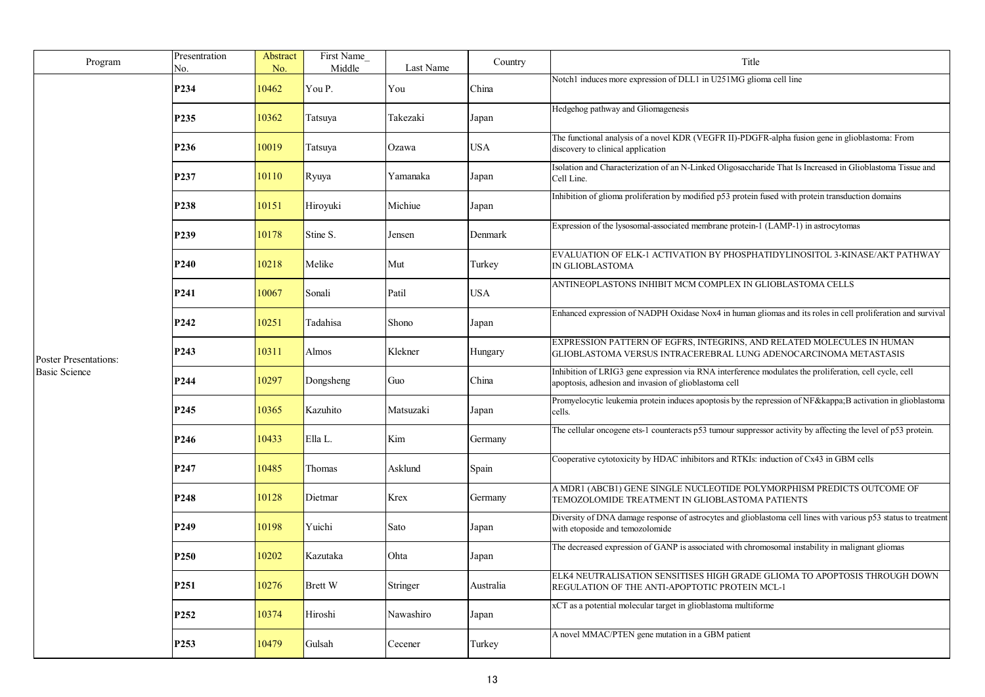| Program                      | Presentration<br>No. | Abstract<br>No. | First Name<br>Middle | Last Name | Country    | Title                                                                                                                                                           |
|------------------------------|----------------------|-----------------|----------------------|-----------|------------|-----------------------------------------------------------------------------------------------------------------------------------------------------------------|
|                              | P234                 | 10462           | You P.               | You       | China      | Notch1 induces more expression of DLL1 in U251MG glioma cell line                                                                                               |
|                              | P <sub>235</sub>     | 10362           | Tatsuya              | Takezaki  | Japan      | Hedgehog pathway and Gliomagenesis                                                                                                                              |
|                              | P236                 | 10019           | Tatsuya              | Ozawa     | USA        | The functional analysis of a novel KDR (VEGFR II)-PDGFR-alpha fusion gene in glioblastoma: From<br>discovery to clinical application                            |
|                              | P237                 | 10110           | Ryuya                | Yamanaka  | Japan      | Isolation and Characterization of an N-Linked Oligosaccharide That Is Increased in Glioblastoma Tissue and<br>Cell Line.                                        |
|                              | P <sub>238</sub>     | 10151           | Hiroyuki             | Michiue   | Japan      | Inhibition of glioma proliferation by modified p53 protein fused with protein transduction domains                                                              |
|                              | P <sub>239</sub>     | 10178           | Stine S.             | Jensen    | Denmark    | Expression of the lysosomal-associated membrane protein-1 (LAMP-1) in astrocytomas                                                                              |
|                              | P <sub>240</sub>     | 10218           | Melike               | Mut       | Turkey     | EVALUATION OF ELK-1 ACTIVATION BY PHOSPHATIDYLINOSITOL 3-KINASE/AKT PATHWAY<br>IN GLIOBLASTOMA                                                                  |
|                              | P <sub>241</sub>     | 10067           | Sonali               | Patil     | <b>USA</b> | ANTINEOPLASTONS INHIBIT MCM COMPLEX IN GLIOBLASTOMA CELLS                                                                                                       |
|                              | P <sub>242</sub>     | 10251           | Tadahisa             | Shono     | Japan      | Enhanced expression of NADPH Oxidase Nox4 in human gliomas and its roles in cell proliferation and survival                                                     |
| <b>Poster Presentations:</b> | P <sub>243</sub>     | 10311           | Almos                | Klekner   | Hungary    | EXPRESSION PATTERN OF EGFRS, INTEGRINS, AND RELATED MOLECULES IN HUMAN<br>GLIOBLASTOMA VERSUS INTRACEREBRAL LUNG ADENOCARCINOMA METASTASIS                      |
| <b>Basic Science</b>         | P244                 | 10297           | Dongsheng            | Guo       | China      | Inhibition of LRIG3 gene expression via RNA interference modulates the proliferation, cell cycle, cell<br>apoptosis, adhesion and invasion of glioblastoma cell |
|                              | P <sub>245</sub>     | 10365           | Kazuhito             | Matsuzaki | Japan      | Promyelocytic leukemia protein induces apoptosis by the repression of NFκB activation in glioblastoma<br>cells.                                                 |
|                              | P246                 | 10433           | Ella L.              | Kim       | Germany    | The cellular oncogene ets-1 counteracts p53 tumour suppressor activity by affecting the level of p53 protein.                                                   |
|                              | P247                 | 10485           | Thomas               | Asklund   | Spain      | Cooperative cytotoxicity by HDAC inhibitors and RTKIs: induction of Cx43 in GBM cells                                                                           |
|                              | P <sub>248</sub>     | 10128           | Dietmar              | Krex      | Germany    | A MDR1 (ABCB1) GENE SINGLE NUCLEOTIDE POLYMORPHISM PREDICTS OUTCOME OF<br>TEMOZOLOMIDE TREATMENT IN GLIOBLASTOMA PATIENTS                                       |
|                              | P249                 | 10198           | Yuichi               | Sato      | Japan      | Diversity of DNA damage response of astrocytes and glioblastoma cell lines with various p53 status to treatment<br>with etoposide and temozolomide              |
|                              | P <sub>250</sub>     | 10202           | Kazutaka             | Ohta      | Japan      | The decreased expression of GANP is associated with chromosomal instability in malignant gliomas                                                                |
|                              | P <sub>251</sub>     | 10276           | Brett W              | Stringer  | Australia  | ELK4 NEUTRALISATION SENSITISES HIGH GRADE GLIOMA TO APOPTOSIS THROUGH DOWN<br>REGULATION OF THE ANTI-APOPTOTIC PROTEIN MCL-1                                    |
|                              | P <sub>252</sub>     | 10374           | Hiroshi              | Nawashiro | Japan      | xCT as a potential molecular target in glioblastoma multiforme                                                                                                  |
|                              | P <sub>253</sub>     | 10479           | Gulsah               | Cecener   | Turkey     | A novel MMAC/PTEN gene mutation in a GBM patient                                                                                                                |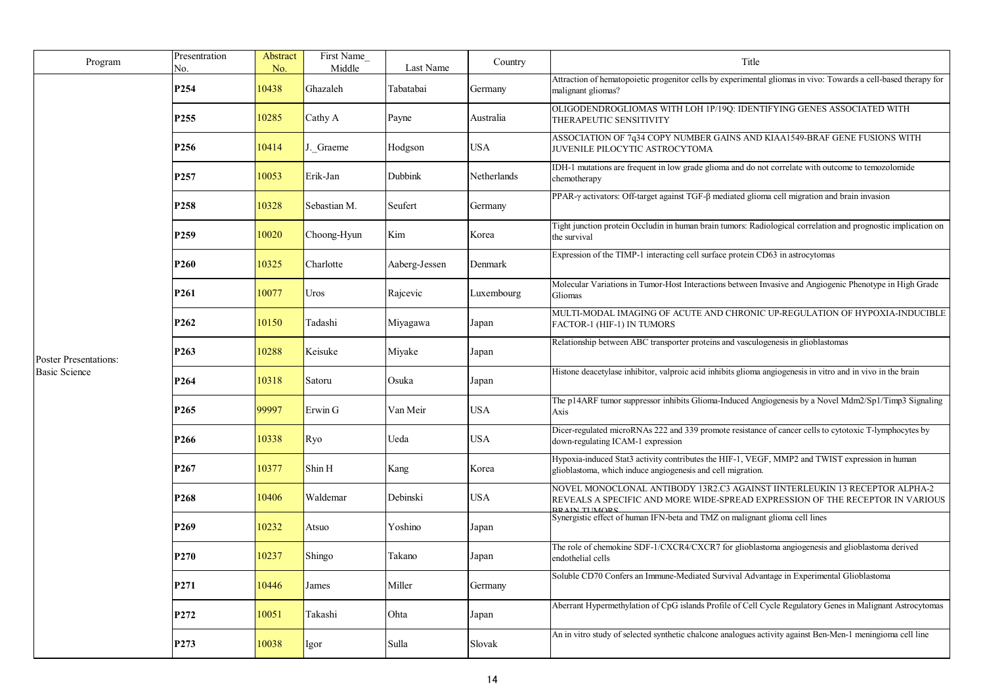| Program                      | Presentration           | Abstract     | First Name         |                        | Country     | Title                                                                                                                                                                               |
|------------------------------|-------------------------|--------------|--------------------|------------------------|-------------|-------------------------------------------------------------------------------------------------------------------------------------------------------------------------------------|
|                              | No.<br>P <sub>254</sub> | No.<br>10438 | Middle<br>Ghazaleh | Last Name<br>Tabatabai | Germany     | Attraction of hematopoietic progenitor cells by experimental gliomas in vivo: Towards a cell-based therapy for<br>malignant gliomas?                                                |
|                              | P <sub>255</sub>        | 10285        | Cathy A            | Payne                  | Australia   | OLIGODENDROGLIOMAS WITH LOH 1P/19Q: IDENTIFYING GENES ASSOCIATED WITH<br>THERAPEUTIC SENSITIVITY                                                                                    |
|                              | P <sub>256</sub>        | 10414        | J. Graeme          | Hodgson                | <b>USA</b>  | ASSOCIATION OF 7q34 COPY NUMBER GAINS AND KIAA1549-BRAF GENE FUSIONS WITH<br>JUVENILE PILOCYTIC ASTROCYTOMA                                                                         |
|                              | P <sub>257</sub>        | 10053        | Erik-Jan           | Dubbink                | Netherlands | IDH-1 mutations are frequent in low grade glioma and do not correlate with outcome to temozolomide<br>chemotherapy                                                                  |
|                              | P <sub>258</sub>        | 10328        | Sebastian M.       | Seufert                | Germany     | PPAR-γ activators: Off-target against TGF-β mediated glioma cell migration and brain invasion                                                                                       |
|                              | P <sub>259</sub>        | 10020        | Choong-Hyun        | Kim                    | Korea       | Tight junction protein Occludin in human brain tumors: Radiological correlation and prognostic implication on<br>the survival                                                       |
|                              | P <sub>260</sub>        | 10325        | Charlotte          | Aaberg-Jessen          | Denmark     | Expression of the TIMP-1 interacting cell surface protein CD63 in astrocytomas                                                                                                      |
|                              | P <sub>261</sub>        | 10077        | Uros               | Rajcevic               | Luxembourg  | Molecular Variations in Tumor-Host Interactions between Invasive and Angiogenic Phenotype in High Grade<br>Gliomas                                                                  |
|                              | P <sub>262</sub>        | 10150        | Tadashi            | Miyagawa               | Japan       | MULTI-MODAL IMAGING OF ACUTE AND CHRONIC UP-REGULATION OF HYPOXIA-INDUCIBLE<br>FACTOR-1 (HIF-1) IN TUMORS                                                                           |
| <b>Poster Presentations:</b> | P <sub>263</sub>        | 10288        | Keisuke            | Miyake                 | Japan       | Relationship between ABC transporter proteins and vasculogenesis in glioblastomas                                                                                                   |
| <b>Basic Science</b>         | P <sub>264</sub>        | 10318        | Satoru             | Osuka                  | Japan       | Histone deacetylase inhibitor, valproic acid inhibits glioma angiogenesis in vitro and in vivo in the brain                                                                         |
|                              | P <sub>265</sub>        | 99997        | Erwin G            | Van Meir               | <b>USA</b>  | The p14ARF tumor suppressor inhibits Glioma-Induced Angiogenesis by a Novel Mdm2/Sp1/Timp3 Signaling<br>Axis                                                                        |
|                              | P <sub>266</sub>        | 10338        | Ryo                | Ueda                   | <b>USA</b>  | Dicer-regulated microRNAs 222 and 339 promote resistance of cancer cells to cytotoxic T-lymphocytes by<br>down-regulating ICAM-1 expression                                         |
|                              | P <sub>267</sub>        | 10377        | Shin H             | Kang                   | Korea       | Hypoxia-induced Stat3 activity contributes the HIF-1, VEGF, MMP2 and TWIST expression in human<br>glioblastoma, which induce angiogenesis and cell migration.                       |
|                              | P <sub>268</sub>        | 10406        | Waldemar           | Debinski               | USA         | NOVEL MONOCLONAL ANTIBODY 13R2.C3 AGAINST IINTERLEUKIN 13 RECEPTOR ALPHA-2<br>REVEALS A SPECIFIC AND MORE WIDE-SPREAD EXPRESSION OF THE RECEPTOR IN VARIOUS<br><b>DD AINETHMODE</b> |
|                              | P <sub>269</sub>        | 10232        | Atsuo              | Yoshino                | Japan       | Synergistic effect of human IFN-beta and TMZ on malignant glioma cell lines                                                                                                         |
|                              | P <sub>270</sub>        | 10237        | Shingo             | Takano                 | Japan       | The role of chemokine SDF-1/CXCR4/CXCR7 for glioblastoma angiogenesis and glioblastoma derived<br>endothelial cells                                                                 |
|                              | P271                    | 10446        | James              | Miller                 | Germany     | Soluble CD70 Confers an Immune-Mediated Survival Advantage in Experimental Glioblastoma                                                                                             |
|                              | P272                    | 10051        | Takashi            | Ohta                   | Japan       | Aberrant Hypermethylation of CpG islands Profile of Cell Cycle Regulatory Genes in Malignant Astrocytomas                                                                           |
|                              | P273                    | 10038        | Igor               | Sulla                  | Slovak      | An in vitro study of selected synthetic chalcone analogues activity against Ben-Men-1 meningioma cell line                                                                          |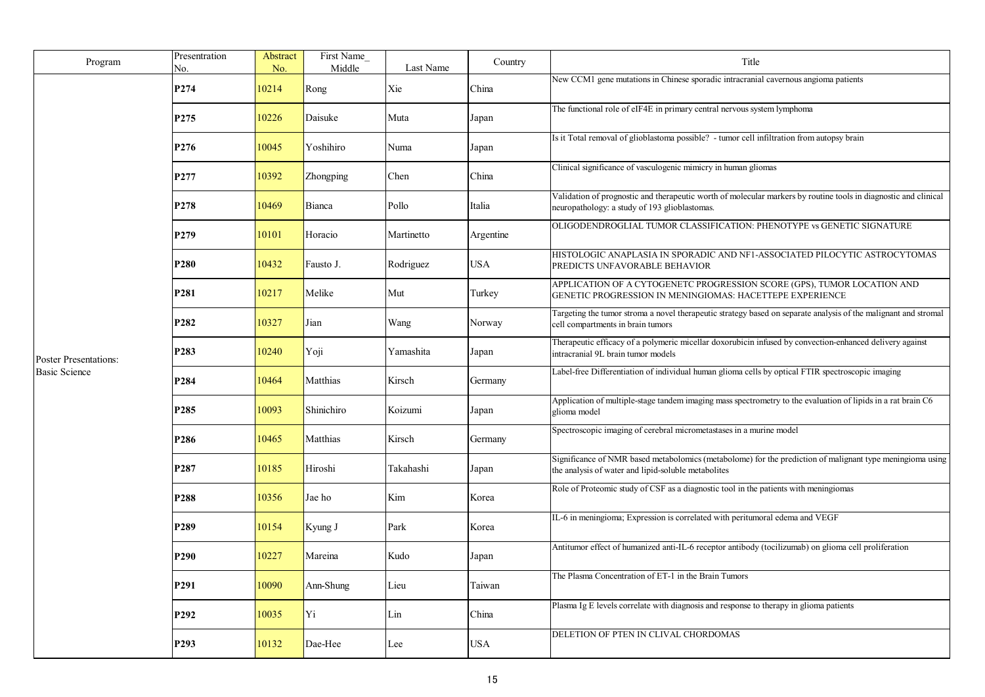| Program                                              | Presentration<br>No. | Abstract<br>No. | First Name<br>Middle | Last Name  | Country   | Title                                                                                                                                                            |
|------------------------------------------------------|----------------------|-----------------|----------------------|------------|-----------|------------------------------------------------------------------------------------------------------------------------------------------------------------------|
|                                                      | P274                 | 10214           | Rong                 | Xie        | China     | New CCM1 gene mutations in Chinese sporadic intracranial cavernous angioma patients                                                                              |
|                                                      | P <sub>275</sub>     | 10226           | Daisuke              | Muta       | Japan     | The functional role of eIF4E in primary central nervous system lymphoma                                                                                          |
|                                                      | P276                 | 10045           | Yoshihiro            | Numa       | Japan     | Is it Total removal of glioblastoma possible? - tumor cell infiltration from autopsy brain                                                                       |
|                                                      | P277                 | 10392           | Zhongping            | Chen       | China     | Clinical significance of vasculogenic mimicry in human gliomas                                                                                                   |
|                                                      | P278                 | 10469           | <b>Bianca</b>        | Pollo      | Italia    | Validation of prognostic and therapeutic worth of molecular markers by routine tools in diagnostic and clinical<br>neuropathology: a study of 193 glioblastomas. |
|                                                      | P <sub>279</sub>     | 10101           | Horacio              | Martinetto | Argentine | OLIGODENDROGLIAL TUMOR CLASSIFICATION: PHENOTYPE vs GENETIC SIGNATURE                                                                                            |
|                                                      | P <sub>280</sub>     | 10432           | Fausto J.            | Rodriguez  | USA       | HISTOLOGIC ANAPLASIA IN SPORADIC AND NF1-ASSOCIATED PILOCYTIC ASTROCYTOMAS<br>PREDICTS UNFAVORABLE BEHAVIOR                                                      |
|                                                      | P281                 | 10217           | Melike               | Mut        | Turkey    | APPLICATION OF A CYTOGENETC PROGRESSION SCORE (GPS), TUMOR LOCATION AND<br>GENETIC PROGRESSION IN MENINGIOMAS: HACETTEPE EXPERIENCE                              |
|                                                      | P282                 | 10327           | Jian                 | Wang       | Norway    | Targeting the tumor stroma a novel therapeutic strategy based on separate analysis of the malignant and stromal<br>cell compartments in brain tumors             |
| <b>Poster Presentations:</b><br><b>Basic Science</b> | P283                 | 10240           | Yoji                 | Yamashita  | Japan     | Therapeutic efficacy of a polymeric micellar doxorubicin infused by convection-enhanced delivery against<br>intracranial 9L brain tumor models                   |
|                                                      | P284                 | 10464           | Matthias             | Kirsch     | Germany   | Label-free Differentiation of individual human glioma cells by optical FTIR spectroscopic imaging                                                                |
|                                                      | P <sub>285</sub>     | 10093           | Shinichiro           | Koizumi    | Japan     | Application of multiple-stage tandem imaging mass spectrometry to the evaluation of lipids in a rat brain C6<br>glioma model                                     |
|                                                      | P286                 | 10465           | Matthias             | Kirsch     | Germany   | Spectroscopic imaging of cerebral micrometastases in a murine model                                                                                              |
|                                                      | P287                 | 10185           | Hiroshi              | Takahashi  | Japan     | Significance of NMR based metabolomics (metabolome) for the prediction of malignant type meningioma using<br>the analysis of water and lipid-soluble metabolites |
|                                                      | P288                 | 10356           | Jae ho               | Kim        | Korea     | Role of Proteomic study of CSF as a diagnostic tool in the patients with meningiomas                                                                             |
|                                                      | P <sub>289</sub>     | 10154           | Kyung J              | Park       | Korea     | IL-6 in meningioma; Expression is correlated with peritumoral edema and VEGF                                                                                     |
|                                                      | P <sub>290</sub>     | 10227           | Mareina              | Kudo       | Japan     | Antitumor effect of humanized anti-IL-6 receptor antibody (tocilizumab) on glioma cell proliferation                                                             |
|                                                      | P291                 | 10090           | Ann-Shung            | Lieu       | Taiwan    | The Plasma Concentration of ET-1 in the Brain Tumors                                                                                                             |
|                                                      | P292                 | 10035           | Yi                   | Lin        | China     | Plasma Ig E levels correlate with diagnosis and response to therapy in glioma patients                                                                           |
|                                                      | P <sub>293</sub>     | 10132           | Dae-Hee              | Lee        | USA       | DELETION OF PTEN IN CLIVAL CHORDOMAS                                                                                                                             |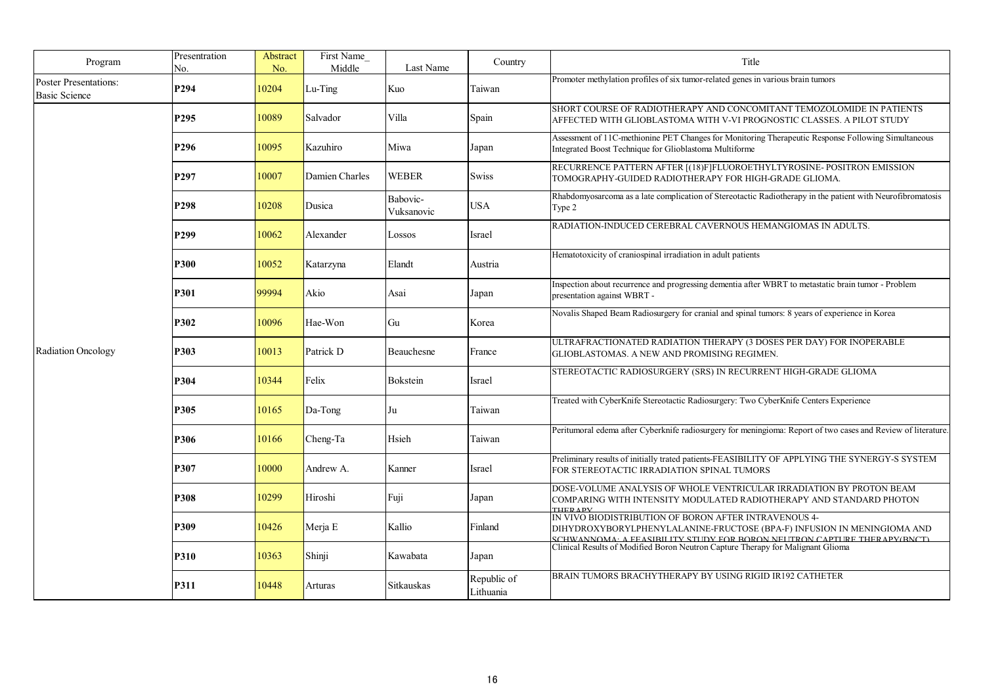| Program                                              | Presentration<br>No. | Abstract<br>No. | First Name<br>Middle | Last Name              | Country                  | Title                                                                                                                                                                                                        |
|------------------------------------------------------|----------------------|-----------------|----------------------|------------------------|--------------------------|--------------------------------------------------------------------------------------------------------------------------------------------------------------------------------------------------------------|
| <b>Poster Presentations:</b><br><b>Basic Science</b> | P294                 | 10204           | Lu-Ting              | Kuo                    | Taiwan                   | Promoter methylation profiles of six tumor-related genes in various brain tumors                                                                                                                             |
|                                                      | P <sub>295</sub>     | 10089           | Salvador             | Villa                  | Spain                    | SHORT COURSE OF RADIOTHERAPY AND CONCOMITANT TEMOZOLOMIDE IN PATIENTS<br>AFFECTED WITH GLIOBLASTOMA WITH V-VI PROGNOSTIC CLASSES. A PILOT STUDY                                                              |
|                                                      | P296                 | 10095           | Kazuhiro             | Miwa                   | Japan                    | Assessment of 11C-methionine PET Changes for Monitoring Therapeutic Response Following Simultaneous<br>Integrated Boost Technique for Glioblastoma Multiforme                                                |
|                                                      | P <sub>297</sub>     | 10007           | Damien Charles       | <b>WEBER</b>           | <b>Swiss</b>             | RECURRENCE PATTERN AFTER [(18)F]FLUOROETHYLTYROSINE- POSITRON EMISSION<br>TOMOGRAPHY-GUIDED RADIOTHERAPY FOR HIGH-GRADE GLIOMA.                                                                              |
|                                                      | P <sub>298</sub>     | 10208           | Dusica               | Babovic-<br>Vuksanovic | USA                      | Rhabdomyosarcoma as a late complication of Stereotactic Radiotherapy in the patient with Neurofibromatosis<br>Type 2                                                                                         |
|                                                      | P <sub>299</sub>     | 10062           | Alexander            | Lossos                 | Israel                   | RADIATION-INDUCED CEREBRAL CAVERNOUS HEMANGIOMAS IN ADULTS.                                                                                                                                                  |
|                                                      | <b>P300</b>          | 10052           | Katarzyna            | Elandt                 | Austria                  | Hematotoxicity of craniospinal irradiation in adult patients                                                                                                                                                 |
| Radiation Oncology                                   | P301                 | 99994           | Akio                 | Asai                   | Japan                    | Inspection about recurrence and progressing dementia after WBRT to metastatic brain tumor - Problem<br>presentation against WBRT -                                                                           |
|                                                      | <b>P302</b>          | 10096           | Hae-Won              | Gu                     | Korea                    | Novalis Shaped Beam Radiosurgery for cranial and spinal tumors: 8 years of experience in Korea                                                                                                               |
|                                                      | P303                 | 10013           | Patrick D            | Beauchesne             | France                   | ULTRAFRACTIONATED RADIATION THERAPY (3 DOSES PER DAY) FOR INOPERABLE<br>GLIOBLASTOMAS. A NEW AND PROMISING REGIMEN.                                                                                          |
|                                                      | P304                 | 10344           | Felix                | <b>Bokstein</b>        | Israel                   | STEREOTACTIC RADIOSURGERY (SRS) IN RECURRENT HIGH-GRADE GLIOMA                                                                                                                                               |
|                                                      | P305                 | 10165           | Da-Tong              | Ju                     | Taiwan                   | Treated with CyberKnife Stereotactic Radiosurgery: Two CyberKnife Centers Experience                                                                                                                         |
|                                                      | <b>P306</b>          | 10166           | Cheng-Ta             | Hsieh                  | Taiwan                   | Peritumoral edema after Cyberknife radiosurgery for meningioma: Report of two cases and Review of literature.                                                                                                |
|                                                      | P307                 | 10000           | Andrew A.            | Kanner                 | Israel                   | Preliminary results of initially trated patients-FEASIBILITY OF APPLYING THE SYNERGY-S SYSTEM<br>FOR STEREOTACTIC IRRADIATION SPINAL TUMORS                                                                  |
|                                                      | P308                 | 10299           | Hiroshi              | Fuji                   | Japan                    | DOSE-VOLUME ANALYSIS OF WHOLE VENTRICULAR IRRADIATION BY PROTON BEAM<br>COMPARING WITH INTENSITY MODULATED RADIOTHERAPY AND STANDARD PHOTON<br>THER APV                                                      |
|                                                      | P309                 | 10426           | Merja E              | Kallio                 | Finland                  | IN VIVO BIODISTRIBUTION OF BORON AFTER INTRAVENOUS 4-<br>DIHYDROXYBORYLPHENYLALANINE-FRUCTOSE (BPA-F) INFUSION IN MENINGIOMA AND<br>SCHWANNOMA: A EEASIBII ITV STUDY EOR BORON NEUTRON CAPTURE THERAPV(BNCT) |
|                                                      | P310                 | 10363           | Shinji               | Kawabata               | Japan                    | Clinical Results of Modified Boron Neutron Capture Therapy for Malignant Glioma                                                                                                                              |
|                                                      | P311                 | 10448           | Arturas              | Sitkauskas             | Republic of<br>Lithuania | BRAIN TUMORS BRACHYTHERAPY BY USING RIGID IR192 CATHETER                                                                                                                                                     |